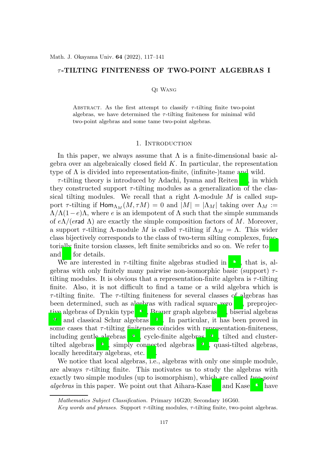# $\tau$ -TILTING FINITENESS OF TWO-POINT ALGEBRAS I

#### Qi Wang

ABSTRACT. As the first attempt to classify  $\tau$ -tilting finite two-point algebras, we have determined the  $\tau$ -tilting finiteness for minimal wild two-point algebras and some tame two-point algebras.

### 1. INTRODUCTION

In this paper, we always assume that  $\Lambda$  is a finite-dimensional basic algebra over an algebraically closed field  $K$ . In particular, the representation type of  $\Lambda$  is divided into representation-finite, (infinite-)tame and wild.

 $\tau$ -tilting theory is introduced by Adachi, Iyama and Reiten [\[7\]](#page-23-0), in which they constructed support  $\tau$ -tilting modules as a generalization of the classical tilting modules. We recall that a right  $\Lambda$ -module M is called support  $\tau$ -tilting if  $\text{Hom}_{\Lambda_M}(M, \tau M) = 0$  and  $|M| = |\Lambda_M|$  taking over  $\Lambda_M :=$  $\Lambda/\Lambda(1-e)\Lambda$ , where e is an idempotent of  $\Lambda$  such that the simple summands of  $e\Lambda/(e\mathsf{rad}\,\Lambda)$  are exactly the simple composition factors of M. Moreover, a support  $\tau$ -tilting  $\Lambda$ -module M is called  $\tau$ -tilting if  $\Lambda_M = \Lambda$ . This wider class bijectively corresponds to the class of two-term silting complexes, functorially finite torsion classes, left finite semibricks and so on. We refer to [\[7](#page-23-0)] and [\[2](#page-23-1)] for details.

We are interested in  $\tau$ -tilting finite algebras studied in [\[13](#page-23-2)], that is, algebras with only finitely many pairwise non-isomorphic basic (support)  $\tau$ tilting modules. It is obvious that a representation-finite algebra is  $\tau$ -tilting finite. Also, it is not difficult to find a tame or a wild algebra which is  $\tau$ -tilting finite. The  $\tau$ -tilting finiteness for several classes of algebras has been determined, such as algebras with radical square zero [\[1](#page-23-3)], preprojective algebras of Dynkin type [\[19\]](#page-24-0), Brauer graph algebras [3], biserial algebras [20] and classical Schur algebras [\[25](#page-24-1)]. In particular, it has been proved in some cases that  $\tau$ -tilting finiteness coincides with representation-finiteness, including gentle algebras [\[22](#page-24-2)], cycle-finite algebras [\[21\]](#page-24-3), tilted and clustertilted algebras [\[27](#page-24-4)], simply connected algebras [\[24](#page-24-5)], quasi-tilted algebras, locally hereditary algebras, etc. [\[4](#page-23-4)].

We notice that local algebras, i.e., algebras with only one simple module, are always  $\tau$ -tilting finite. This motivates us to study the algebras with exactly two simple modules (up to isomorphism), which are called *two-point algebras* in this paper. We point out that Aihara-Kase [\[6](#page-23-5)] and Kase [\[18\]](#page-23-6) have

Mathematics Subject Classification. Primary 16G20; Secondary 16G60.

Key words and phrases. Support  $\tau$ -tilting modules,  $\tau$ -tilting finite, two-point algebras.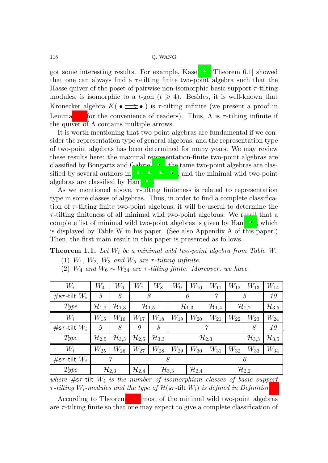got some interesting results. For example, Kase [\[18](#page-23-6), Theorem 6.1] showed that one can always find a  $\tau$ -tilting finite two-point algebra such that the Hasse quiver of the poset of pairwise non-isomorphic basic support  $\tau$ -tilting modules, is isomorphic to a t-gon  $(t \geq 4)$ . Besides, it is well-known that Kronecker algebra  $K(\bullet \Longrightarrow \bullet)$  is  $\tau$ -tilting infinite (we present a proof in Lemma [3.2](#page-9-0) for the convenience of readers). Thus,  $\Lambda$  is  $\tau$ -tilting infinite if the quiver of  $\Lambda$  contains multiple arrows.

It is worth mentioning that two-point algebras are fundamental if we consider the representation type of general algebras, and the representation type of two-point algebras has been determined for many years. We may review these results here: the maximal representation-finite two-point algebras are classified by Bongartz and Gabriel [\[10\]](#page-23-7), the tame two-point algebras are classified by several authors in  $[11, 12, 15, 16]$  $[11, 12, 15, 16]$  $[11, 12, 15, 16]$  $[11, 12, 15, 16]$  $[11, 12, 15, 16]$  $[11, 12, 15, 16]$ , and the minimal wild two-point algebras are classified by Han [\[16](#page-23-11)].

As we mentioned above,  $\tau$ -tilting finiteness is related to representation type in some classes of algebras. Thus, in order to find a complete classification of  $\tau$ -tilting finite two-point algebras, it will be useful to determine the  $\tau$ -tilting finiteness of all minimal wild two-point algebras. We recall that a complete list of minimal wild two-point algebras is given by Han [\[16](#page-23-11)], which is displayed by Table W in his paper. (See also Appendix A of this paper.) Then, the first main result in this paper is presented as follows.

<span id="page-1-0"></span>Theorem 1.1. *Let* W<sup>i</sup> *be a minimal wild two-point algebra from Table W.*

- (1)  $W_1$ ,  $W_2$ ,  $W_3$  *and*  $W_5$  *are*  $\tau$ -*tilting infinite.*
- (2)  $W_4$  *and*  $W_6 \sim W_{34}$  *are*  $\tau$ -*tilting finite. Moreover, we have*

| $W_i$                     | $W_4$               | $W_6$               | $W_7$               | $W_8$                                                             | $W_9$               | $W_{10}$ | $W_{11}$            | $W_{12}$            | $W_{13}$            | $W_{14}$            |
|---------------------------|---------------------|---------------------|---------------------|-------------------------------------------------------------------|---------------------|----------|---------------------|---------------------|---------------------|---------------------|
| $\#$ s $\tau$ -tilt $W_i$ | 5                   | 6                   | 8                   |                                                                   | 6                   |          | 7                   | 5                   |                     | 10                  |
| <i>Type</i>               | $\mathcal{H}_{1,2}$ | $\mathcal{H}_{1,3}$ | $\mathcal{H}_{1,5}$ |                                                                   | $\mathcal{H}_{1,3}$ |          | $\mathcal{H}_{1,4}$ | $\mathcal{H}_{1,2}$ |                     | $\mathcal{H}_{3,5}$ |
| $W_i$                     | $W_{15}$            | $W_{16}$            | $W_{17}$            | $W_{18}$                                                          | $W_{19}$            | $W_{20}$ | $W_{21}$            | $W_{22}$            | $W_{23}$            | $W_{24}$            |
| #s $\tau$ -tilt $W_i$     | 9                   | 8                   | 9                   | 8                                                                 | $\gamma$            |          |                     |                     | 8                   | 10                  |
| <i>Type</i>               | $\mathcal{H}_{2,5}$ | $\mathcal{H}_{3,3}$ | $\mathcal{H}_{2,5}$ | $\mathcal{H}_{3,3}$                                               | $\mathcal{H}_{2,3}$ |          |                     |                     | $\mathcal{H}_{3,3}$ | $\mathcal{H}_{3,5}$ |
| $W_i$                     | $W_{25}$            | $W_{26}$            | $W_{27}$            | $W_{28}$                                                          | $W_{29}$            | $W_{30}$ | $W_{31}$            | $W_{32}$            | $W_{33}$            | $W_{34}$            |
| $\#$ s $\tau$ -tilt $W_i$ |                     | $\gamma$            | 8                   |                                                                   |                     |          | 6                   |                     |                     |                     |
| Type                      |                     | $\mathcal{H}_{2,3}$ | $\mathcal{H}_{2,4}$ | $\mathcal{H}_{3,3}$<br>$\mathcal{H}_{2,4}$<br>$\mathcal{H}_{2,2}$ |                     |          |                     |                     |                     |                     |

*where* #sτ *-*tilt W<sup>i</sup> *is the number of isomorphism classes of basic support* τ *-tilting* Wi*-modules and the type of* H(sτ *-*tilt Wi) *is defined in Definition [4.](#page-5-0)*

According to Theorem [1.1,](#page-1-0) most of the minimal wild two-point algebras are  $\tau$ -tilting finite so that one may expect to give a complete classification of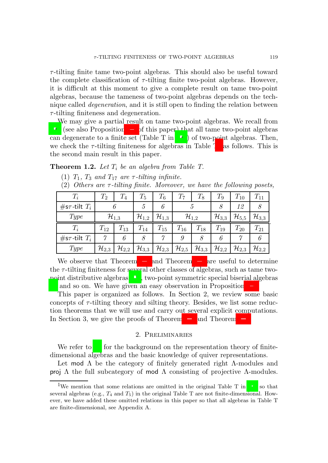$\tau$ -tilting finite tame two-point algebras. This should also be useful toward the complete classification of  $\tau$ -tilting finite two-point algebras. However, it is difficult at this moment to give a complete result on tame two-point algebras, because the tameness of two-point algebras depends on the technique called *degeneration*, and it is still open to finding the relation between  $\tau$ -tilting finiteness and degeneration.

We may give a partial result on tame two-point algebras. We recall from [\[16](#page-23-11)] (see also Proposition [3.1](#page-7-0) of this paper) that all tame two-point algebras can degenerate to a finite set (Table T in [\[16](#page-23-11)]) of two-point algebras. Then, we check the  $\tau$ -tilting finiteness for algebras in Table T<sup>[1](#page-2-0)</sup> as follows. This is the second main result in this paper.

<span id="page-2-1"></span>**Theorem 1.2.** Let  $T_i$  be an algebra from Table T.

- (1)  $T_1$ ,  $T_3$  *and*  $T_{17}$  *are*  $\tau$ *-tilting infinite.*
- (2) *Others are* τ *-tilting finite. Moreover, we have the following posets,*

| $\scriptstyle T_i$    | $\scriptstyle T_2$  | $\, T_{4} \,$       | $T_{\rm 5}$         | $\, T_{6} \,$       | $T_7$               | $\scriptstyle T_8$  | $T_9$               | $T_{10}$            | $T_{11}$            |
|-----------------------|---------------------|---------------------|---------------------|---------------------|---------------------|---------------------|---------------------|---------------------|---------------------|
| #s $\tau$ -tilt $T_i$ |                     |                     |                     |                     |                     |                     |                     | 12                  |                     |
| Type                  | $\mathcal{H}_{1,3}$ |                     | $\mathcal{H}_{1,2}$ | $\mathcal{H}_{1,3}$ |                     | $\mathcal{H}_{1,2}$ | $\mathcal{H}_{3,3}$ | $\mathcal{H}_{5,5}$ | $\mathcal{H}_{3,3}$ |
|                       | $T_{12}$            | $T_{13}$            | $T_{14}$            | $T_{15}$            | $T_{16}$            | $T_{18}$            | $T_{19}$            | $T_{20}$            | $T_{21}$            |
| #s $\tau$ -tilt $T_i$ |                     | 6                   |                     |                     | 9                   |                     |                     |                     |                     |
| Type                  | $\mathcal{H}_{2,3}$ | $\mathcal{H}_{2,2}$ | $\mathcal{H}_{3,3}$ | $\mathcal{H}_{2,3}$ | $\mathcal{H}_{2,5}$ | $\mathcal{H}_{3,3}$ | $\mathcal{H}_{2,2}$ | $\mathcal{H}_{2,3}$ | $\mathcal{H}_{2,2}$ |

We observe that Theorem [1.1](#page-1-0) and Theorem [1.2](#page-2-1) are useful to determine the  $\tau$ -tilting finiteness for several other classes of algebras, such as tame twopoint distributive algebras [\[15](#page-23-10)], two-point symmetric special biserial algebras [\[8](#page-23-12)] and so on. We have given an easy observation in Proposition [3.9.](#page-20-0)

This paper is organized as follows. In Section 2, we review some basic concepts of  $\tau$ -tilting theory and silting theory. Besides, we list some reduction theorems that we will use and carry out several explicit computations. In Section 3, we give the proofs of Theorem [1.1](#page-1-0) and Theorem [1.2.](#page-2-1)

## 2. Preliminaries

We refer to [\[9](#page-23-13)] for the background on the representation theory of finitedimensional algebras and the basic knowledge of quiver representations.

Let mod  $\Lambda$  be the category of finitely generated right  $\Lambda$ -modules and **proj**  $Λ$  the full subcategory of mod  $Λ$  consisting of projective  $Λ$ -modules.

<span id="page-2-0"></span><sup>&</sup>lt;sup>1</sup>We mention that some relations are omitted in the original Table T in [\[16](#page-23-11)] so that several algebras (e.g.,  $T_4$  and  $T_5$ ) in the original Table T are not finite-dimensional. However, we have added these omitted relations in this paper so that all algebras in Table T are finite-dimensional, see Appendix A.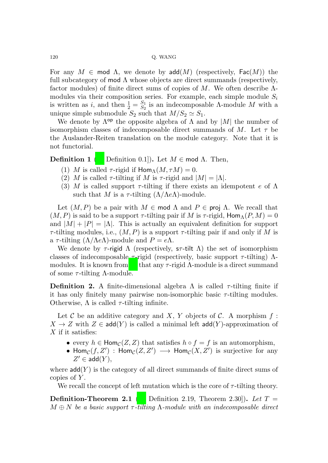For any  $M \in \text{mod } \Lambda$ , we denote by  $\text{add}(M)$  (respectively,  $\text{Fac}(M)$ ) the full subcategory of mod  $\Lambda$  whose objects are direct summands (respectively, factor modules) of finite direct sums of copies of M. We often describe  $\Lambda$ modules via their composition series. For example, each simple module  $S_i$ is written as *i*, and then  $\frac{1}{2} = \frac{S_1}{S_2}$  is an indecomposable  $\Lambda$ -module  $M$  with a unique simple submodule  $S_2$  such that  $M/S_2 \simeq S_1$ .

We denote by  $\Lambda^{\mathsf{op}}$  the opposite algebra of  $\Lambda$  and by  $|M|$  the number of isomorphism classes of indecomposable direct summands of M. Let  $\tau$  be the Auslander-Reiten translation on the module category. Note that it is not functorial.

**Definition 1** ([\[7](#page-23-0), Definition 0.1]). Let  $M \in \text{mod } \Lambda$ . Then,

- (1) M is called  $\tau$ -rigid if  $\text{Hom}_{\Lambda}(M, \tau M) = 0$ .
- (2) M is called  $\tau$ -tilting if M is  $\tau$ -rigid and  $|M| = |\Lambda|$ .
- (3) M is called support  $\tau$ -tilting if there exists an idempotent e of  $\Lambda$ such that M is a  $\tau$ -tilting  $(\Lambda/(\Lambda e \Lambda))$ -module.

Let  $(M, P)$  be a pair with  $M \in \text{mod } \Lambda$  and  $P \in \text{proj } \Lambda$ . We recall that  $(M, P)$  is said to be a support  $\tau$ -tilting pair if M is  $\tau$ -rigid,  $\text{Hom}_{\Lambda}(P, M) = 0$ and  $|M| + |P| = |\Lambda|$ . This is actually an equivalent definition for support  $\tau$ -tilting modules, i.e.,  $(M, P)$  is a support  $\tau$ -tilting pair if and only if M is a  $\tau$ -tilting  $(\Lambda/\Lambda e\Lambda)$ -module and  $P = e\Lambda$ .

We denote by  $\tau$ -rigid  $\Lambda$  (respectively,  $\tau$ -tilt  $\Lambda$ ) the set of isomorphism classes of indecomposable  $\tau$ -rigid (respectively, basic support  $\tau$ -tilting)  $\Lambda$ -modules. It is known from [\[7\]](#page-23-0) that any  $\tau$ -rigid  $\Lambda$ -module is a direct summand of some  $\tau$ -tilting  $\Lambda$ -module.

**Definition 2.** A finite-dimensional algebra  $\Lambda$  is called  $\tau$ -tilting finite if it has only finitely many pairwise non-isomorphic basic  $\tau$ -tilting modules. Otherwise,  $\Lambda$  is called  $\tau$ -tilting infinite.

Let C be an additive category and X, Y objects of C. A morphism  $f$ :  $X \to Z$  with  $Z \in \text{add}(Y)$  is called a minimal left  $\text{add}(Y)$ -approximation of  $X$  if it satisfies:

- every  $h \in \text{Hom}_{\mathcal{C}}(Z, Z)$  that satisfies  $h \circ f = f$  is an automorphism,
- Hom $c(f, Z')$ : Hom $c(Z, Z') \longrightarrow$  Hom $c(X, Z')$  is surjective for any  $Z' \in \mathsf{add}(Y),$

where  $\mathsf{add}(Y)$  is the category of all direct summands of finite direct sums of copies of  $Y$ .

We recall the concept of left mutation which is the core of  $\tau$ -tilting theory.

**Definition-Theorem 2.1** ([\[7,](#page-23-0) Definition 2.19, Theorem 2.30]). Let  $T =$ M ⊕ N *be a basic support* τ *-tilting* Λ*-module with an indecomposable direct*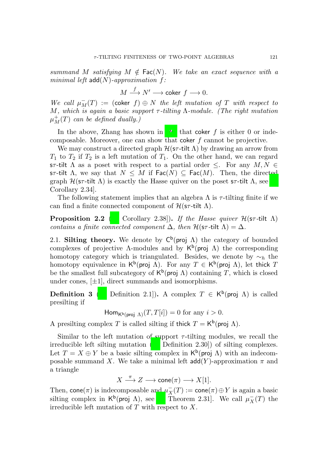*summand* M *satisfying*  $M \notin \text{Fac}(N)$ *. We take an exact sequence with a minimal left* add(N)*-approximation* f*:*

$$
M\stackrel{f}{\longrightarrow}N'\longrightarrow\operatorname{coker}\,f\longrightarrow0.
$$

 $We call \mu_M^-(T) := (\text{coker } f) \oplus N$  *the left mutation of*  $T$  *with respect to* M*, which is again a basic support* τ *-tilting* Λ*-module. (The right mutation*  $\mu_M^+(T)$  *can be defined dually.*)

In the above, Zhang has shown in [\[26](#page-24-6)] that coker f is either 0 or indecomposable. Moreover, one can show that coker  $f$  cannot be projective.

We may construct a directed graph  $\mathcal{H}(\mathsf{s}\tau\text{-tilt} \Lambda)$  by drawing an arrow from  $T_1$  to  $T_2$  if  $T_2$  is a left mutation of  $T_1$ . On the other hand, we can regard sτ-tilt  $\Lambda$  as a poset with respect to a partial order  $\leq$ . For any  $M, N \in$ sτ-tilt  $\Lambda$ , we say that  $N \leq M$  if  $\text{Fac}(N) \subseteq \text{Fac}(M)$ . Then, the directed graph  $\mathcal{H}(\mathsf{s}\tau\text{-tilt}$  (λ) is exactly the Hasse quiver on the poset  $\mathsf{s}\tau\text{-tilt}$  (λ, see [\[7](#page-23-0), Corollary 2.34].

The following statement implies that an algebra  $\Lambda$  is  $\tau$ -tilting finite if we can find a finite connected component of  $\mathcal{H}(\mathsf{s}\tau\text{-tilt} \Lambda)$ .

<span id="page-4-0"></span>**Proposition 2.2** ([\[7](#page-23-0), Corollary 2.38]). *If the Hasse quiver*  $\mathcal{H}(\mathsf{sr}\text{-}tilt)$   $\Lambda$ ) *contains a finite connected component*  $\Delta$ *, then*  $\mathcal{H}(\mathsf{sr}\text{-}\mathsf{tilt} \Lambda) = \Delta$ *.* 

2.1. Silting theory. We denote by  $C^b$  (proj  $\Lambda$ ) the category of bounded complexes of projective  $\Lambda$ -modules and by  $\mathsf{K}^{\mathsf{b}}(\mathsf{proj}\,\Lambda)$  the corresponding homotopy category which is triangulated. Besides, we denote by  $\sim_h$  the homotopy equivalence in  $\mathsf{K}^{\mathsf{b}}(\mathsf{proj}\,\,\Lambda)$ . For any  $T\in\mathsf{K}^{\mathsf{b}}(\mathsf{proj}\,\,\Lambda)$ , let thick  $T$ be the smallest full subcategory of  $\mathsf{K}^{\mathsf{b}}(\mathsf{proj}\,\Lambda)$  containing T, which is closed under cones,  $[\pm 1]$ , direct summands and isomorphisms.

**Definition 3** ([\[5](#page-23-14), Definition 2.1]). A complex  $T \in K^b$  (proj  $\Lambda$ ) is called presilting if

 $\mathsf{Hom}_{\mathsf{K}^{\mathsf{b}}(\mathsf{proj}\,\Lambda)}(T,T[i]) = 0$  for any  $i > 0$ .

A presilting complex T is called silting if thick  $T = K^b$  (proj  $\Lambda$ ).

Similar to the left mutation of support  $\tau$ -tilting modules, we recall the irreducible left silting mutation ([\[5](#page-23-14), Definition 2.30]) of silting complexes. Let  $T = X \oplus Y$  be a basic silting complex in  $\mathsf{K}^{\mathsf{b}}(\mathsf{proj}\,\Lambda)$  with an indecomposable summand X. We take a minimal left  $add(Y)$ -approximation  $\pi$  and a triangle

 $X \stackrel{\pi}{\longrightarrow} Z \longrightarrow \mathsf{cone}(\pi) \longrightarrow X[1].$ 

Then, cone $(\pi)$  is indecomposable and  $\mu_X^+$  $\bar{X}_X(T) := \mathsf{cone}(\pi) \oplus Y$  is again a basic silting complex in  $\mathsf{K}^{\mathsf{b}}$ (proj  $\Lambda$ ), see [\[5](#page-23-14), Theorem 2.31]. We call  $\mu_X^ \bar{X}(T)$  the irreducible left mutation of  $T$  with respect to  $X$ .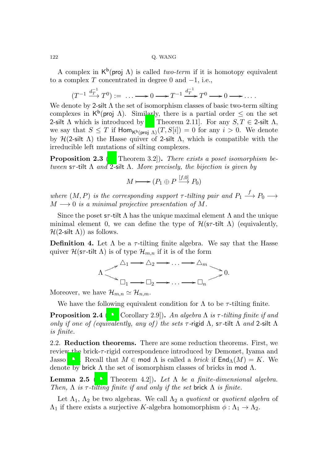A complex in  $\mathsf{K}^{\mathsf{b}}(\textsf{proj}\,\Lambda)$  is called *two-term* if it is homotopy equivalent to a complex T concentrated in degree 0 and  $-1$ , i.e.,

$$
(T^{-1} \xrightarrow{d_T^{-1}} T^0) := \dots \longrightarrow 0 \longrightarrow T^{-1} \xrightarrow{d_T^{-1}} T^0 \longrightarrow 0 \longrightarrow \dots
$$

We denote by 2-silt  $\Lambda$  the set of isomorphism classes of basic two-term silting complexes in  $K^b$ (proj  $\Lambda$ ). Similarly, there is a partial order  $\leq$  on the set 2-silt  $\Lambda$  which is introduced by [\[5](#page-23-14), Theorem 2.11]. For any  $S, T \in$  2-silt  $\Lambda$ , we say that  $S \leq T$  if  $\text{Hom}_{\mathsf{K}^{\text{b}}(\text{proj } \Lambda)}(T, S[i]) = 0$  for any  $i > 0$ . We denote by  $H(2-silt \Lambda)$  the Hasse quiver of 2-silt  $\Lambda$ , which is compatible with the irreducible left mutations of silting complexes.

<span id="page-5-2"></span>Proposition 2.3 ([\[7](#page-23-0), Theorem 3.2]). *There exists a poset isomorphism between* sτ *-*tilt Λ *and* 2*-*silt Λ*. More precisely, the bijection is given by*

$$
M \longmapsto (P_1 \oplus P \xrightarrow{[f,0]} P_0)
$$

where  $(M, P)$  *is the corresponding support*  $\tau$ -tilting pair and  $P_1 \stackrel{f}{\longrightarrow} P_0 \longrightarrow$  $M \longrightarrow 0$  *is a minimal projective presentation of* M.

Since the poset  $s\tau$ -tilt  $\Lambda$  has the unique maximal element  $\Lambda$  and the unique minimal element 0, we can define the type of  $\mathcal{H}(\mathsf{sr}\text{-}\mathsf{tilt} \Lambda)$  (equivalently,  $H(2\text{-}silt \Lambda)$  as follows.

<span id="page-5-0"></span>**Definition 4.** Let  $\Lambda$  be a  $\tau$ -tilting finite algebra. We say that the Hasse quiver  $\mathcal{H}(\mathsf{s}\tau\text{-tilt} \Lambda)$  is of type  $\mathcal{H}_{m,n}$  if it is of the form



Moreover, we have  $\mathcal{H}_{m,n} \simeq \mathcal{H}_{n,m}$ .

We have the following equivalent condition for  $\Lambda$  to be  $\tau$ -tilting finite.

<span id="page-5-3"></span>**Proposition 2.4** ([\[13](#page-23-2), Corollary 2.9]). An algebra  $\Lambda$  is  $\tau$ -tilting finite if and *only if one of (equivalently, any of) the sets* τ *-*rigid Λ*,* sτ *-*tilt Λ *and* 2*-*silt Λ *is finite.*

2.2. Reduction theorems. There are some reduction theorems. First, we review the brick-τ -rigid correspondence introduced by Demonet, Iyama and Jasso [\[13\]](#page-23-2). Recall that  $M \in \text{mod } \Lambda$  is called a *brick* if  $\text{End}_{\Lambda}(M) = K$ . We denote by brick  $\Lambda$  the set of isomorphism classes of bricks in mod  $\Lambda$ .

<span id="page-5-1"></span>**Lemma 2.5** ([\[13](#page-23-2), Theorem 4.2]). Let  $\Lambda$  be a finite-dimensional algebra. *Then,*  $\Lambda$  *is*  $\tau$ -*tilting finite if and only if the set* brick  $\Lambda$  *is finite.* 

Let  $\Lambda_1$ ,  $\Lambda_2$  be two algebras. We call  $\Lambda_2$  a *quotient* or *quotient algebra* of  $\Lambda_1$  if there exists a surjective K-algebra homomorphism  $\phi : \Lambda_1 \to \Lambda_2$ .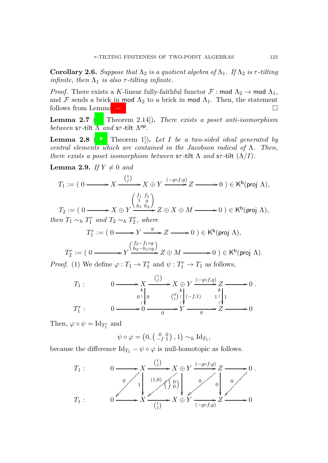<span id="page-6-1"></span>**Corollary 2.6.** *Suppose that*  $\Lambda_2$  *is a quotient algebra of*  $\Lambda_1$ *. If*  $\Lambda_2$  *is*  $\tau$ *-tilting infinite, then*  $\Lambda_1$  *is also*  $\tau$ -*tilting infinite.* 

*Proof.* There exists a K-linear fully-faithful functor  $\mathcal{F}$ : mod  $\Lambda_2 \to \text{mod } \Lambda_1$ , and F sends a brick in mod  $\Lambda_2$  to a brick in mod  $\Lambda_1$ . Then, the statement follows from Lemma [2.5.](#page-5-1)

<span id="page-6-3"></span>Lemma 2.7 ([\[7](#page-23-0), Theorem 2.14]). *There exists a poset anti-isomorphism between* sτ *-*tilt Λ *and* sτ *-*tilt Λ op *.*

<span id="page-6-0"></span>Lemma 2.8 ([\[14](#page-23-15), Theorem 1]). *Let* I *be a two-sided ideal generated by central elements which are contained in the Jacobson radical of* Λ*. Then, there exists a poset isomorphism between*  $s\tau$ -tilt  $\Lambda$  *and*  $s\tau$ -tilt  $(\Lambda/I)$ *.* 

<span id="page-6-2"></span>**Lemma 2.9.** *If*  $Y \neq 0$  *and* 

$$
T_1 := \left( \begin{array}{c} 0 \longrightarrow X \xrightarrow{\binom{1}{f}} X \oplus Y \xrightarrow{(-g \circ f, g)} Z \longrightarrow 0 \end{array} \right) \in \mathsf{K}^{\mathsf{b}}(\mathsf{proj}\,\,\Lambda),
$$

 $T_2 := (0 \longrightarrow X \oplus Y)$ 1 g  $\overline{h_1 h_2}$ ,  $Z \oplus X \oplus M \longrightarrow 0$ )  $\in$  K<sup>b</sup>(proj  $\Lambda$ )*, then*  $T_1 \sim_h T_1^r$  *and*  $T_2 \sim_h T_2^r$ *, where* 

$$
T_1^r := (0 \longrightarrow Y \xrightarrow{g} Z \longrightarrow 0) \in \mathsf{K}^{\mathsf{b}}(\text{proj } \Lambda),
$$

$$
(f_2 - f_1 \circ g)
$$

$$
T_2^r := \left(0 \xrightarrow{\qquad \qquad} Y \xrightarrow{\left(\hat{h}_2 - \hat{h}_1 \circ g\right)} Z \oplus M \xrightarrow{\qquad \qquad} 0\right) \in \mathsf{K}^{\mathsf{b}}(\mathsf{proj}\,\,\Lambda).
$$

*Proof.* (1) We define  $\varphi: T_1 \to T_1^r$  and  $\psi: T_1^r \to T_1$  as follows,

$$
T_1: \t\t 0 \longrightarrow X \xrightarrow{\binom{1}{f}} X \oplus Y \xrightarrow{\left(-g \circ f, g\right)} Z \longrightarrow 0
$$
  
\n
$$
T_1^r: \t 0 \longrightarrow 0 \xrightarrow{\wedge} 0 \xrightarrow{\wedge} 0 \longrightarrow Y \xrightarrow{\wedge} Z \longrightarrow 0
$$

Then,  $\varphi \circ \psi = \mathrm{Id}_{T_1^r}$  and

$$
\psi \circ \varphi = \left(0, \left(\begin{smallmatrix} 0 & 0 \\ -f & 1 \end{smallmatrix}\right), 1\right) \sim_h \mathrm{Id}_{T_1},
$$

because the difference  $\mathrm{Id}_{T_1} - \psi \circ \varphi$  is null-homotopic as follows.

$$
T_1: \t\t 0 \longrightarrow X \xrightarrow{\binom{f}{f}} X \oplus Y \xrightarrow{\left(-g \circ f, g\right)} Z \longrightarrow 0
$$
  

$$
T_1: \t 0 \xrightarrow{\rho} X \xrightarrow{\left(1,0\right)} \begin{pmatrix} 1 & 0 \\ f & 0 \end{pmatrix} \downarrow 0 \xrightarrow{\rho} \begin{pmatrix} 0 & 0 \\ 0 & 0 \end{pmatrix} \downarrow 0
$$
  

$$
T_1: \t 0 \xrightarrow{\rho} X \xrightarrow{\left(\frac{1}{f}\right)} X \oplus Y \xrightarrow{\rho} \begin{pmatrix} -g \circ f, g \\ g & 0 \end{pmatrix} Z \longrightarrow 0
$$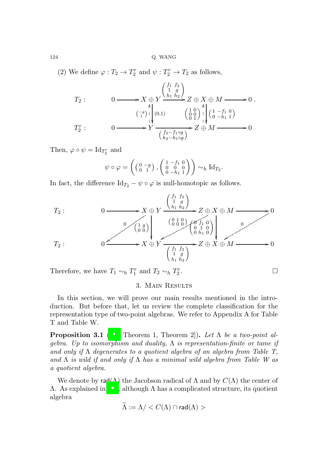(2) We define  $\varphi: T_2 \to T_2^r$  and  $\psi: T_2^r \to T_2$  as follows,

$$
T_2: \t 0 \longrightarrow X \underset{\begin{array}{c}\n\oplus Y \\
\uparrow \\
\downarrow \\
\end{array}}\n\begin{array}{c}\n\begin{pmatrix}\nf_1 & f_2 \\
1 & g \\
h_1 & h_2\n\end{pmatrix} \\
\downarrow \\
\begin{array}{c}\n\begin{array}{c}\n\oplus Y \\
\downarrow \\
\downarrow \\
\end{array}\n\end{array}\n\end{array}
$$
\n
$$
T_2^r: \t 0 \longrightarrow Y \longrightarrow Y
$$
\n
$$
T_2^r:\t 0 \longrightarrow Y \longrightarrow Y
$$
\n
$$
\begin{array}{c}\n\begin{array}{c}\n\oplus X \oplus M \\
\downarrow \\
\downarrow \\
\end{array}\n\end{array}
$$
\n
$$
T_2^r: \t 0 \longrightarrow Y \longrightarrow Y
$$
\n
$$
\begin{array}{c}\n\begin{array}{c}\n\oplus X \oplus M \\
\downarrow \\
\downarrow \\
\end{array}\n\end{array}
$$

Then,  $\varphi \circ \psi = \text{Id}_{T_2^r}$  and

$$
\psi \circ \varphi = \left( \begin{pmatrix} 0 & -g \\ 0 & 1 \end{pmatrix}, \begin{pmatrix} 1 & -f_1 & 0 \\ 0 & 0 & 0 \\ 0 & -h_1 & 1 \end{pmatrix} \right) \sim_h \mathrm{Id}_{T_2}.
$$

In fact, the difference  $\text{Id}_{T_2} - \psi \circ \varphi$  is null-homotopic as follows.

$$
T_2: \t\t 0 \longrightarrow X \oplus Y \xrightarrow{\begin{pmatrix} f_1 & f_2 \\ 1 & g \\ h_1 & h_2 \end{pmatrix}} Z \oplus X \oplus M \longrightarrow 0
$$
  
\n
$$
\begin{pmatrix} 0 & 1 & g \\ 0 & 0 & 0 \\ 0 & 0 & 0 \end{pmatrix} \longrightarrow (0 \oplus 0) \begin{pmatrix} 0 & f_1 & 0 \\ 0 & 1 & 0 \\ 0 & h_1 & 0 \end{pmatrix} \longrightarrow 0
$$
  
\n
$$
T_2: \t 0 \longrightarrow X \oplus Y \xrightarrow{\begin{pmatrix} f_1 & f_2 \\ 1 & g \\ h_1 & h_2 \end{pmatrix}} Z \oplus X \oplus M \longrightarrow 0
$$

Therefore, we have  $T_1 \sim_h T_1^r$  and  $T_2 \sim_h T_2^r$ . — Первый процесс в получине в составительность получины в составите в составите на составите на составите на<br>В составите на составите на составите на составите на составите на составите на составите на составите на сост

# 3. Main Results

In this section, we will prove our main results mentioned in the introduction. But before that, let us review the complete classification for the representation type of two-point algebras. We refer to Appendix A for Table T and Table W.

<span id="page-7-0"></span>**Proposition 3.1** ([\[16](#page-23-11), Theorem 1, Theorem 2]). Let  $\Lambda$  be a two-point al*gebra. Up to isomorphism and duality,* Λ *is representation-finite or tame if and only if* Λ *degenerates to a quotient algebra of an algebra from Table T, and* Λ *is wild if and only if* Λ *has a minimal wild algebra from Table W as a quotient algebra.*

We denote by rad( $\Lambda$ ) the Jacobson radical of  $\Lambda$  and by  $C(\Lambda)$  the center of  $Λ$ . As explained in [\[14](#page-23-15)], although  $Λ$  has a complicated structure, its quotient algebra

$$
\widetilde{\Lambda}:=\Lambda/
$$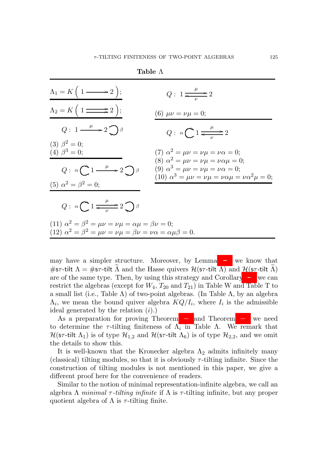| $\Lambda_1 = K\left(1 \longrightarrow 2\right);$                                                                                                                              | $Q: 1 \xrightarrow{\mu} 2$                                                                                                                                                                       |
|-------------------------------------------------------------------------------------------------------------------------------------------------------------------------------|--------------------------------------------------------------------------------------------------------------------------------------------------------------------------------------------------|
| $\Lambda_2 = K\left(1 \longrightarrow 2\right);$                                                                                                                              | (6) $\mu \nu = \nu \mu = 0;$                                                                                                                                                                     |
| $Q: 1 \longrightarrow 2 \bigcup \beta$                                                                                                                                        | $Q: \alpha \bigcap \frac{\mu}{\leftarrow} 2$                                                                                                                                                     |
| (3) $\beta^2 = 0$ ;<br>(4) $\beta^3 = 0$ ;                                                                                                                                    | (7) $\alpha^2 = \mu \nu = \nu \mu = \nu \alpha = 0;$                                                                                                                                             |
| $Q: \alpha \bigcap 1 \longrightarrow 2 \bigcap \beta$                                                                                                                         | (8) $\alpha^2 = \mu \nu = \nu \mu = \nu \alpha \mu = 0;$<br>(9) $\alpha^3 = \mu \nu = \nu \mu = \nu \alpha = 0;$<br>(10) $\alpha^3 = \mu \nu = \nu \mu = \nu \alpha \mu = \nu \alpha^2 \mu = 0;$ |
| (5) $\alpha^2 = \beta^2 = 0;$                                                                                                                                                 |                                                                                                                                                                                                  |
| $Q: \alpha \bigcirc 1 \xrightarrow{\mu} 2 \bigcirc \beta$                                                                                                                     |                                                                                                                                                                                                  |
| (11) $\alpha^2 = \beta^2 = \mu \nu = \nu \mu = \alpha \mu = \beta \nu = 0;$<br>(12) $\alpha^2 = \beta^2 = \mu \nu = \nu \mu = \beta \nu = \nu \alpha = \alpha \mu \beta = 0.$ |                                                                                                                                                                                                  |

Table Λ

may have a simpler structure. Moreover, by Lemma [2.8,](#page-6-0) we know that #sτ-tilt  $\Lambda = \#$ sτ-tilt  $\Lambda$  and the Hasse quivers  $\mathcal{H}$ (sτ-tilt  $\Lambda$ ) and  $\mathcal{H}$ (sτ-tilt  $\Lambda$ ) are of the same type. Then, by using this strategy and Corollary [2.6,](#page-6-1) we can restrict the algebras (except for  $W_4$ ,  $T_{20}$  and  $T_{21}$ ) in Table W and Table T to a small list (i.e., Table  $\Lambda$ ) of two-point algebras. (In Table  $\Lambda$ , by an algebra  $\Lambda_i$ , we mean the bound quiver algebra  $KQ/I_i$ , where  $I_i$  is the admissible ideal generated by the relation  $(i)$ .)

As a preparation for proving Theorem [1.1](#page-1-0) and Theorem [1.2,](#page-2-1) we need to determine the  $\tau$ -tilting finiteness of  $\Lambda_i$  in Table  $\Lambda$ . We remark that  $\mathcal{H}(\mathsf{s}\tau\text{-tilt}\, \Lambda_1)$  is of type  $\mathcal{H}_{1,2}$  and  $\mathcal{H}(\mathsf{s}\tau\text{-tilt}\, \Lambda_6)$  is of type  $\mathcal{H}_{2,2}$ , and we omit the details to show this.

It is well-known that the Kronecker algebra  $\Lambda_2$  admits infinitely many (classical) tilting modules, so that it is obviously  $\tau$ -tilting infinite. Since the construction of tilting modules is not mentioned in this paper, we give a different proof here for the convenience of readers.

Similar to the notion of minimal representation-infinite algebra, we call an algebra  $\Lambda$  *minimal*  $\tau$ -tilting *infinite* if  $\Lambda$  is  $\tau$ -tilting infinite, but any proper quotient algebra of  $\Lambda$  is  $\tau$ -tilting finite.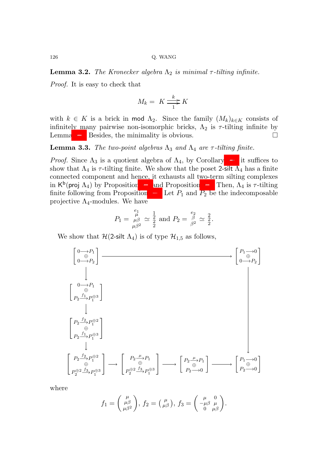<span id="page-9-0"></span>**Lemma 3.2.** *The Kronecker algebra*  $\Lambda_2$  *is minimal*  $\tau$ -tilting infinite.

*Proof.* It is easy to check that

$$
M_k = K \frac{k}{1} K
$$

with  $k \in K$  is a brick in mod  $\Lambda_2$ . Since the family  $(M_k)_{k \in K}$  consists of infinitely many pairwise non-isomorphic bricks,  $\Lambda_2$  is  $\tau$ -tilting infinite by Lemma [2.5.](#page-5-1) Besides, the minimality is obvious.

<span id="page-9-1"></span>**Lemma 3.3.** *The two-point algebras*  $\Lambda_3$  *and*  $\Lambda_4$  *are*  $\tau$ -*tilting finite.* 

*Proof.* Since  $\Lambda_3$  is a quotient algebra of  $\Lambda_4$ , by Corollary [2.6,](#page-6-1) it suffices to show that  $\Lambda_4$  is  $\tau$ -tilting finite. We show that the poset 2-silt  $\Lambda_4$  has a finite connected component and hence, it exhausts all two-term silting complexes in  $K^b$ (proj  $\Lambda_4$ ) by Proposition [2.2](#page-4-0) and Proposition [2.3.](#page-5-2) Then,  $\Lambda_4$  is  $\tau$ -tilting finite following from Proposition [2.4.](#page-5-3) Let  $P_1$  and  $P_2$  be the indecomposable projective  $\Lambda_4$ -modules. We have

$$
P_1 = \frac{\mu}{\mu \beta}^2 \simeq \frac{1}{2}^1 \text{ and } P_2 = \frac{\mu}{\beta^2} \simeq \frac{2}{2}.
$$

We show that  $\mathcal{H}$ (2-silt  $\Lambda_4$ ) is of type  $\mathcal{H}_{1,5}$  as follows,

$$
\begin{bmatrix}\n0 \to P_1 \\
0 \to P_2\n\end{bmatrix}
$$
\n
$$
\begin{bmatrix}\n0 \to P_1 \\
0 \to P_2\n\end{bmatrix}
$$
\n
$$
\begin{bmatrix}\n0 \to P_1 \\
\oplus \\
P_2 \xrightarrow{f_1} P_1^{\oplus 3}\n\end{bmatrix}
$$
\n
$$
\begin{bmatrix}\nP_2 \xrightarrow{f_2} P_1^{\oplus 2} \\
P_2 \xrightarrow{f_1} P_1^{\oplus 3}\n\end{bmatrix}
$$
\n
$$
\begin{bmatrix}\nP_2 \xrightarrow{f_2} P_1^{\oplus 2} \\
P_2 \xrightarrow{f_1} P_1^{\oplus 3}\n\end{bmatrix}
$$
\n
$$
\begin{bmatrix}\nP_2 \xrightarrow{\mu} P_1 \\
\oplus \\
P_2 \xrightarrow{f_2} P_1^{\oplus 2}\n\end{bmatrix}
$$
\n
$$
\begin{bmatrix}\nP_2 \xrightarrow{\mu} P_1 \\
\oplus \\
P_2 \xrightarrow{f_2} P_1^{\oplus 3}\n\end{bmatrix}
$$
\n
$$
\begin{bmatrix}\nP_2 \xrightarrow{\mu} P_1 \\
\oplus \\
P_2 \xrightarrow{f_2} P_1^{\oplus 3}\n\end{bmatrix}
$$
\n
$$
\begin{bmatrix}\nP_2 \xrightarrow{\mu} P_1 \\
\oplus \\
P_2 \xrightarrow{f_2} P_1^{\oplus 3}\n\end{bmatrix}
$$

where

$$
f_1 = \begin{pmatrix} \mu \\ \mu \beta \\ \mu \beta^2 \end{pmatrix}, f_2 = \begin{pmatrix} \mu \\ \mu \beta \end{pmatrix}, f_3 = \begin{pmatrix} \mu & 0 \\ -\mu \beta & \mu \\ 0 & \mu \beta \end{pmatrix}.
$$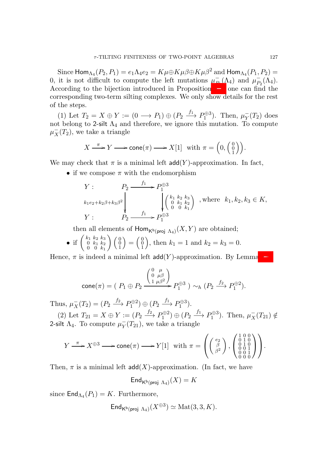Since  $\mathsf{Hom}_{\Lambda_4}(P_2,P_1)=e_1\Lambda_4e_2=K\mu\oplus K\mu\beta\oplus K\mu\beta^2$  and  $\mathsf{Hom}_{\Lambda_4}(P_1,P_2)=$ 0, it is not difficult to compute the left mutations  $\mu_{\rm p}^ P_1(\Lambda_4)$  and  $\mu_P^ _{P_2}^-(\Lambda_4).$ According to the bijection introduced in Proposition [2.3,](#page-5-2) one can find the corresponding two-term silting complexes. We only show details for the rest of the steps.

(1) Let  $T_2 = X \oplus Y := (0 \longrightarrow P_1) \oplus (P_2 \xrightarrow{f_1} P_1^{\oplus 3})$ . Then,  $\mu_Y^ _Y^-(T_2)$  does not belong to 2-silt  $\Lambda_4$  and therefore, we ignore this mutation. To compute  $\mu_X^-(T_2)$ , we take a triangle

$$
X \xrightarrow{\pi} Y \longrightarrow \text{cone}(\pi) \longrightarrow X[1] \text{ with } \pi = \left(0, \begin{pmatrix} 0 \\ 0 \\ 1 \end{pmatrix}\right).
$$

We may check that  $\pi$  is a minimal left **add**(Y)-approximation. In fact,

• if we compose  $\pi$  with the endomorphism

$$
Y: \t P_2 \xrightarrow{f_1} P_1^{\oplus 3}
$$
  
\n $k_1e_2+k_2\beta+k_3\beta^2$   
\n
$$
Y: \t P_2 \xrightarrow{f_1} P_1^{\oplus 3}
$$
, where  $k_1, k_2, k_3 \in K$ ,  
\n
$$
Y: \t P_2 \xrightarrow{f_1} P_1^{\oplus 3}
$$

then all elements of  $\text{Hom}_{\mathsf{K}^{\text{b}}(\text{proj } \Lambda_4)}(X, Y)$  are obtained;

• if 
$$
\begin{pmatrix} k_1 & k_2 & k_3 \ 0 & k_1 & k_2 \ 0 & 0 & k_1 \end{pmatrix} \begin{pmatrix} 0 \ 0 \ 1 \end{pmatrix} = \begin{pmatrix} 0 \ 0 \ 1 \end{pmatrix}
$$
, then  $k_1 = 1$  and  $k_2 = k_3 = 0$ .

Hence,  $\pi$  is indeed a minimal left  $add(Y)$ -approximation. By Lemma [2.9,](#page-6-2)

$$
\mathsf{cone}(\pi) = \big(\ P_1 \oplus P_2 \xrightarrow{\left(\begin{smallmatrix} 0 & \mu \\ 0 & \mu\beta \end{smallmatrix}\right)} P_1^{\oplus 3} \; \big) \sim_h (P_2 \xrightarrow{f_2} P_1^{\oplus 2}).
$$

Thus,  $\mu_X^ \overline{X}(T_2) = (P_2 \xrightarrow{f_2} P_1^{\oplus 2}) \oplus (P_2 \xrightarrow{f_1} P_1^{\oplus 3}).$ 

(2) Let  $T_{21} = X \oplus Y := (P_2 \xrightarrow{f_2} P_1^{\oplus 2}) \oplus (P_2 \xrightarrow{f_1} P_1^{\oplus 3})$ . Then,  $\mu_X^-(T_{21}) \notin$ 2-silt  $\Lambda_4$ . To compute  $\mu_Y^ \overline{Y}(T_{21})$ , we take a triangle

$$
Y \xrightarrow{\pi} X^{\oplus 3} \longrightarrow \text{cone}(\pi) \longrightarrow Y[1] \quad \text{with } \pi = \left( \begin{pmatrix} e_2 \\ \beta \\ \beta^2 \end{pmatrix}, \begin{pmatrix} 1 & 0 & 0 \\ 0 & 1 & 0 \\ 0 & 0 & 1 \\ 0 & 0 & 1 \\ 0 & 0 & 0 \end{pmatrix} \right).
$$

Then,  $\pi$  is a minimal left  $add(X)$ -approximation. (In fact, we have

$$
\mathsf{End}_{\mathsf{K}^{\mathsf{b}}(\mathsf{proj}\,\Lambda_4)}(X)=K
$$

since  $\mathsf{End}_{\Lambda_4}(P_1) = K$ . Furthermore,

$$
\mathsf{End}_{\mathsf{K}^{\rm b}(\mathsf{proj}\,\,\Lambda_4)}(X^{\oplus 3})\simeq \mathrm{Mat}(3,3,K).
$$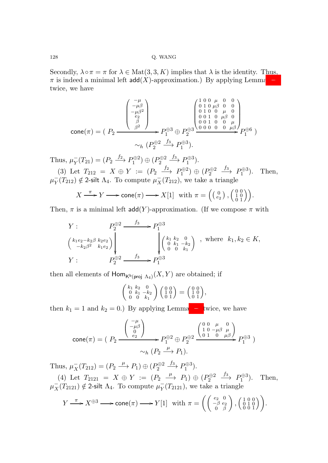Secondly,  $\lambda \circ \pi = \pi$  for  $\lambda \in \text{Mat}(3,3,K)$  implies that  $\lambda$  is the identity. Thus,  $\pi$  is indeed a minimal left add(X)-approximation.) By applying Lemma [2.9](#page-6-2) twice, we have

$$
\text{cone}(\pi) = (P_2 \xrightarrow{\begin{pmatrix} -\mu \\ -\mu\beta \\ -\mu\beta^2 \\ \beta \\ \beta^2 \end{pmatrix}} P_1^{\oplus 3} \oplus P_2^{\oplus 3} \xrightarrow{\begin{pmatrix} 1 & 0 & 0 & \mu & 0 & 0 \\ 0 & 1 & 0 & \mu & 0 & 0 \\ 0 & 1 & 0 & 0 & \mu & 0 \\ 0 & 0 & 1 & 0 & \mu & 0 \\ 0 & 0 & 1 & 0 & 0 & \mu \\ 0 & 0 & 0 & 0 & 0 & \mu \beta \end{pmatrix}} P_1^{\oplus 6})
$$
\n
$$
\sim_h (P_2^{\oplus 2} \xrightarrow{f_3} P_1^{\oplus 3}).
$$

Thus,  $\mu_Y^ Y(Y_{21}) = (P_2 \xrightarrow{f_2} P_1^{\oplus 2}) \oplus (P_2^{\oplus 2} \xrightarrow{f_3} P_1^{\oplus 3}).$ 

(3) Let  $T_{212} = X \oplus Y := (P_2 \xrightarrow{f_2} P_1^{\oplus 2}) \oplus (P_2^{\oplus 2} \xrightarrow{f_3} P_1^{\oplus 3})$ ). Then,  $\mu_Y^ \bar{Y}(T_{212}) \notin 2$ -silt  $\Lambda_4$ . To compute  $\mu_X^ \overline{X}(T_{212})$ , we take a triangle

$$
X \xrightarrow{\pi} Y \longrightarrow \text{cone}(\pi) \longrightarrow X[1] \text{ with } \pi = \left( \begin{smallmatrix} 0 & 0 \\ e_2 \end{smallmatrix} \right), \begin{pmatrix} 0 & 0 \\ 1 & 0 \\ 0 & 1 \end{pmatrix}.
$$

Then,  $\pi$  is a minimal left add(Y)-approximation. (If we compose  $\pi$  with

$$
Y: \t P_2^{\oplus 2} \longrightarrow P_1^{\oplus 3}
$$
  
\n
$$
\begin{pmatrix} k_1 e_2 - k_2 \beta & k_2 e_2 \\ -k_2 \beta^2 & k_1 e_2 \end{pmatrix} \longrightarrow \begin{pmatrix} f_3 & f_4 & f_5 & f_6 \\ f_2 & f_3 & f_4 & f_7 \end{pmatrix}, \text{ where } k_1, k_2 \in K,
$$
  
\n
$$
Y: \t P_2^{\oplus 2} \longrightarrow f_3^{\oplus 3}
$$

then all elements of  $\mathsf{Hom}_{\mathsf{K}^{\mathsf{b}}(\mathsf{proj}\; \Lambda_4)}(X,Y)$  are obtained; if

$$
\left(\begin{smallmatrix} k_1 & k_2 & 0 \\ 0 & k_1 & -k_2 \\ 0 & 0 & k_1 \end{smallmatrix}\right) \left(\begin{smallmatrix} 0 & 0 \\ 1 & 0 \\ 0 & 1 \end{smallmatrix}\right) = \left(\begin{smallmatrix} 0 & 0 \\ 1 & 0 \\ 0 & 1 \end{smallmatrix}\right),
$$

then  $k_1 = 1$  and  $k_2 = 0$ .) By applying Lemma [2.9](#page-6-2) twice, we have

$$
\operatorname{cone}(\pi) = \left( P_2 \xrightarrow{\begin{pmatrix} -\mu \\ -\mu \beta \\ 0 \\ e_2 \end{pmatrix}} P_1^{\oplus 2} \oplus P_2^{\oplus 2} \xrightarrow{\begin{pmatrix} 0 & 0 & \mu & 0 \\ 1 & 0 & -\mu \beta & \mu \\ 0 & 1 & 0 & \mu \beta \end{pmatrix}} P_1^{\oplus 3} \right) \sim_h (P_2 \xrightarrow{\mu} P_1).
$$

Thus,  $\mu_X^ X_T(T_{212}) = (P_2 \xrightarrow{\mu} P_1) \oplus (P_2^{\oplus 2} \xrightarrow{f_3} P_1^{\oplus 3}).$ 

(4) Let  $T_{2121} = X \oplus Y := (P_2 \stackrel{\mu}{\longrightarrow} P_1) \oplus (P_2^{\oplus 2} \stackrel{f_3}{\longrightarrow} P_1^{\oplus 3})$ ). Then,  $\mu_X^ \overline{X}(T_{2121}) \notin 2$ -silt  $\Lambda_4$ . To compute  $\mu_Y^ \overline{Y}(T_{2121})$ , we take a triangle

$$
Y \xrightarrow{\pi} X^{\oplus 3} \longrightarrow \text{cone}(\pi) \longrightarrow Y[1] \text{ with } \pi = \left( \begin{pmatrix} e_2 & 0 \\ -\beta & e_2 \\ 0 & \beta \end{pmatrix}, \begin{pmatrix} 1 & 0 & 0 \\ 0 & 1 & 0 \\ 0 & 0 & 1 \end{pmatrix} \right).
$$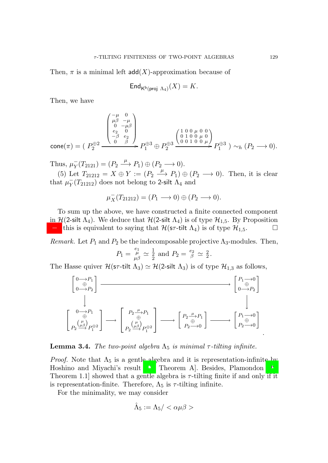Then,  $\pi$  is a minimal left add(X)-approximation because of

$$
\mathsf{End}_{\mathsf{K}^{\mathsf{b}}(\mathsf{proj}\,\Lambda_4)}(X)=K.
$$

Then, we have

$$
\text{cone}(\pi) = \left(\begin{array}{c} \rho_\mu \overset{-\mu}{\beta} & \overset{0}{\longrightarrow} \\ \left(\begin{array}{c} \mu\beta & -\mu \\ 0 & -\mu\beta \\ e_2 & 0 \\ 0 & \beta \end{array}\right) & \right. \\ \left. \rho_\text{1}^{\oplus 2} \xrightarrow{\qquad \qquad \text{e.g.} \\ \left(\begin{array}{c} 1 & 0 & 0 & \mu & 0 & 0 \\ 0 & 1 & 0 & 0 & \mu \\ 0 & 0 & 1 & 0 & 0 & \mu \end{array}\right) \\ \left. \rho_\text{2}^{\oplus 3} \xrightarrow{\qquad \text{e.g.} \\ \left(\begin{array}{c} 1 & 0 & 0 & \mu & 0 & 0 \\ 0 & 0 & 1 & 0 & 0 & \mu \end{array}\right)} P_\text{1}^{\oplus 3} \xrightarrow{\qquad \text{e.g.} \\ \left. P_\text{2}^{\oplus 3} \xrightarrow{\qquad \text{e.g.} \\ \left(\begin{array}{c} 0 & 0 & 1 & 0 & 0 & \mu \\ 0 & 0 & 1 & 0 & 0 & \mu \end{array}\right)} P_\text{2}^{\oplus 3} \xrightarrow{\qquad \text{e.g.} \\ \left. P_\text{1}^{\oplus 3} \xrightarrow{\qquad \text{e.g.} \\ \left(\begin{array}{c} 0 & 0 & 1 & 0 & 0 & \mu \\ 0 & 0 & 1 & 0 & 0 & \mu \end{array}\right)} P_\text{2}^{\oplus 3} \xrightarrow{\qquad \text{e.g.} \\ \left. P_\text{3}^{\oplus 3} \xrightarrow{\qquad \text{e.g.} \\ \left(\begin{array}{c} 0 & 0 & 1 & 0 & \mu \\ 0 & 0 & 1 & 0 & 0 & \mu \end{array}\right)} P_\text{3}^{\oplus 3} \xrightarrow{\qquad \text{e.g.} \\ \left. P_\text{4}^{\oplus 3} \xrightarrow{\qquad \text{e.g.} \\ \left(\begin{array}{c} 0 & 0 & 1 & 0 & \mu \\ 0 & 0 & 1 & 0 & \mu \end{array}\right)} P_\text{4}^{\oplus 3} \xrightarrow{\qquad \text{e.g.} \\ \left. P_\text{5}^{\oplus 3} \xrightarrow{\qquad \text{e.g.} \\ \left(\
$$

Thus,  $\mu_Y^ _Y^-(T_{2121}) = (P_2 \xrightarrow{\mu} P_1) \oplus (P_2 \longrightarrow 0).$ 

(5) Let  $T_{21212} = X \oplus Y := (P_2 \stackrel{\mu}{\longrightarrow} P_1) \oplus (P_2 \longrightarrow 0)$ . Then, it is clear that  $\mu_Y^ \bar{Y}(T_{21212})$  does not belong to 2-silt  $\Lambda_4$  and

$$
\mu_X^-(T_{21212}) = (P_1 \longrightarrow 0) \oplus (P_2 \longrightarrow 0).
$$

To sum up the above, we have constructed a finite connected component in  $\mathcal{H}$ (2-silt  $\Lambda_4$ ). We deduce that  $\mathcal{H}$ (2-silt  $\Lambda_4$ ) is of type  $\mathcal{H}_{1,5}$ . By Proposition [2.3,](#page-5-2) this is equivalent to saying that  $\mathcal{H}(\mathsf{sr}\text{-}\mathsf{tilt}\ \Lambda_4)$  is of type  $\mathcal{H}_{1,5}$ .

*Remark.* Let  $P_1$  and  $P_2$  be the indecomposable projective  $\Lambda_3$ -modules. Then,

$$
P_1 = \frac{e_1}{\mu \beta} \simeq \frac{1}{2}
$$
 and  $P_2 = \frac{e_2}{\beta} \simeq \frac{2}{2}$ .

The Hasse quiver  $\mathcal{H}(\mathsf{s}\tau\text{-tilt}\mid \Lambda_3) \simeq \mathcal{H}(2\text{-silt }\Lambda_3)$  is of type  $\mathcal{H}_{1,3}$  as follows,

$$
\begin{bmatrix} 0 \longrightarrow P_1 \\ 0 \longrightarrow P_2 \end{bmatrix} \longrightarrow \begin{bmatrix} P_1 \longrightarrow 0 \\ 0 \longrightarrow P_2 \end{bmatrix}
$$
  

$$
\begin{bmatrix} 0 \longrightarrow P_1 \\ \oplus \\ P_2 \stackrel{(\mu)}{\longrightarrow} P_1^{\oplus 2} \end{bmatrix} \longrightarrow \begin{bmatrix} P_2 \stackrel{\mu}{\longrightarrow} P_1 \\ \oplus \\ P_2 \stackrel{(\mu)}{\longrightarrow} P_1^{\oplus 2} \end{bmatrix} \longrightarrow \begin{bmatrix} P_2 \stackrel{\mu}{\longrightarrow} P_1 \\ \oplus \\ P_2 \stackrel{(\mu)}{\longrightarrow} 0 \end{bmatrix} \longrightarrow \begin{bmatrix} P_1 \longrightarrow 0 \\ P_2 \stackrel{(\mu)}{\longrightarrow} 0 \end{bmatrix}
$$

**Lemma 3.4.** *The two-point algebra*  $\Lambda_5$  *is minimal*  $\tau$ -tilting infinite.

*Proof.* Note that  $\Lambda_5$  is a gentle algebra and it is representation-infinite by Hoshino and Miyachi's result [\[17](#page-23-16), Theorem A]. Besides, Plamondon [\[22](#page-24-2), Theorem 1.1 showed that a gentle algebra is  $\tau$ -tilting finite if and only if it is representation-finite. Therefore,  $\Lambda_5$  is  $\tau$ -tilting infinite.

For the minimality, we may consider

$$
\hat{\Lambda}_5:=\Lambda_5/<\alpha\mu\beta>
$$

.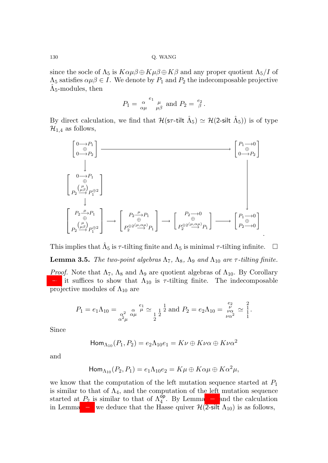since the socle of  $\Lambda_5$  is  $K \alpha \mu \beta \oplus K \mu \beta \oplus K \beta$  and any proper quotient  $\Lambda_5/I$  of  $\Lambda_5$  satisfies  $\alpha \mu \beta \in I$ . We denote by  $P_1$  and  $P_2$  the indecomposable projective  $\hat{\Lambda}_5$ -modules, then

$$
P_1 = \frac{\alpha}{\alpha \mu}^{\ e_1} \frac{\mu}{\mu \beta} \text{ and } P_2 = \frac{e_2}{\beta}.
$$

By direct calculation, we find that  $\mathcal{H}(\mathsf{s}\tau\text{-tilt}\mathsf{t} \hat{\Lambda}_5) \simeq \mathcal{H}(\mathsf{2}\text{-}{\sf silt} \hat{\Lambda}_5))$  is of type  $\mathcal{H}_{1,4}$  as follows,

$$
\begin{bmatrix} 0 \xrightarrow{\rightarrow} P_1 \\ 0 \xrightarrow{\rightarrow} P_2 \end{bmatrix} \xrightarrow{\longrightarrow} \begin{bmatrix} P_1 \xrightarrow{\rightarrow} 0 \\ 0 \xrightarrow{\rightarrow} P_2 \end{bmatrix}
$$
\n
$$
\begin{bmatrix} 0 \xrightarrow{\rightarrow} P_1 \\ \uparrow \\ P_2 \xrightarrow{\mu} P_1 \end{bmatrix}
$$
\n
$$
\begin{bmatrix} P_2 \xrightarrow{\mu} P_1 \\ \oplus \\ P_2 \xrightarrow{\mu} P_1 \end{bmatrix} \xrightarrow{\longrightarrow} \begin{bmatrix} P_2 \xrightarrow{\mu} P_1 \\ \oplus \\ P_2 \xrightarrow{\mu} P_1 \end{bmatrix} \xrightarrow{\longrightarrow} \begin{bmatrix} P_2 \xrightarrow{\rightarrow} 0 \\ \oplus \\ P_2 \xrightarrow{\mu} P_1 \end{bmatrix} \xrightarrow{\longrightarrow} \begin{bmatrix} P_1 \xrightarrow{\rightarrow} 0 \\ \oplus \\ P_2 \xrightarrow{\mu} P_1 \end{bmatrix}
$$

This implies that  $\hat{\Lambda}_5$  is  $\tau$ -tilting finite and  $\Lambda_5$  is minimal  $\tau$ -tilting infinite.  $\Box$ 

.

<span id="page-13-0"></span>**Lemma 3.5.** *The two-point algebras*  $\Lambda_7$ ,  $\Lambda_8$ ,  $\Lambda_9$  *and*  $\Lambda_{10}$  *are*  $\tau$ *-tilting finite.* 

*Proof.* Note that  $\Lambda_7$ ,  $\Lambda_8$  and  $\Lambda_9$  are quotient algebras of  $\Lambda_{10}$ . By Corollary [2.6,](#page-6-1) it suffices to show that  $\Lambda_{10}$  is  $\tau$ -tilting finite. The indecomposable projective modules of  $\Lambda_{10}$  are

$$
P_1 = e_1 \Lambda_{10} = \underset{\alpha^2 \mu}{\alpha^2} \underset{\alpha^2 \mu}{\alpha} \stackrel{e_1}{\mu} \simeq \underset{\frac{1}{2}}{\frac{1}{2}} \underset{2}{\overset{1}{2}} \text{ and } P_2 = e_2 \Lambda_{10} = \underset{\nu \alpha^2}{\overset{e_2}{\nu}} \simeq \frac{2}{1}.
$$

Since

$$
\mathsf{Hom}_{\Lambda_{10}}(P_1,P_2)=e_2\Lambda_{10}e_1=K\nu\oplus K\nu\alpha\oplus K\nu\alpha^2
$$

and

$$
\operatorname{Hom}_{\Lambda_{10}}(P_2,P_1)=e_1\Lambda_{10}e_2=K\mu\oplus K\alpha\mu\oplus K\alpha^2\mu,
$$

we know that the computation of the left mutation sequence started at  $P_1$ is similar to that of  $\Lambda_4$ , and the computation of the left mutation sequence started at  $P_2$  is similar to that of  $\Lambda_4^{\overline{op}}$ . By Lemma [2.7](#page-6-3) and the calculation in Lemma [3.3,](#page-9-1) we deduce that the Hasse quiver  $\mathcal{H}$ (2-silt  $\Lambda_{10}$ ) is as follows,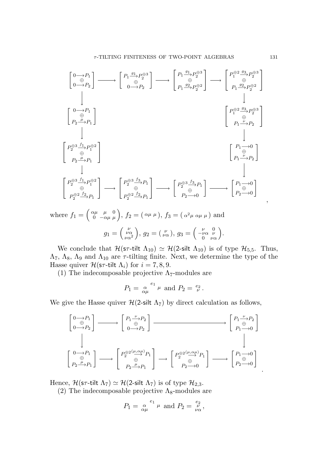

where  $f_1 = \begin{pmatrix} \alpha \mu & \mu & 0 \\ 0 & -\alpha \mu & \mu \end{pmatrix}$ ,  $f_2 = (\alpha \mu \mu)$ ,  $f_3 = (\alpha^2 \mu \alpha \mu \mu)$  and  $g_1 = \begin{pmatrix} \nu \\ \nu \alpha \\ \nu \alpha^2 \end{pmatrix}$  $\Big), g_2 = \left(\begin{array}{c} \nu \\ \nu \alpha \end{array}\right), g_3 = \left(\begin{array}{cc} \nu & 0 \\ -\nu \alpha & \nu \\ 0 & \nu \alpha \end{array}\right).$ 

We conclude that  $\mathcal{H}(\mathsf{s}\tau\text{-tilt} \Lambda_{10}) \simeq \mathcal{H}(2\text{-}silt \Lambda_{10})$  is of type  $\mathcal{H}_{5,5}$ . Thus,  $\Lambda_7$ ,  $\Lambda_8$ ,  $\Lambda_9$  and  $\Lambda_{10}$  are  $\tau$ -tilting finite. Next, we determine the type of the Hasse quiver  $\mathcal{H}(\mathsf{s}\tau\text{-tilt}\mid \Lambda_i)$  for  $i = 7, 8, 9$ .

(1) The indecomposable projective  $\Lambda$ <sub>7</sub>-modules are

$$
P_1 = \frac{\alpha}{\alpha \mu}^{\ e_1} \mu
$$
 and  $P_2 = \frac{e_2}{\nu}$ .

We give the Hasse quiver  $\mathcal{H}(2\text{-}silt \Lambda_7)$  by direct calculation as follows,

$$
\begin{bmatrix} 0 \to P_1 \\ 0 \to P_2 \end{bmatrix} \longrightarrow \begin{bmatrix} P_1 \xrightarrow{\nu} P_2 \\ 0 \to P_2 \end{bmatrix} \longrightarrow \begin{bmatrix} P_1 \xrightarrow{\nu} P_2 \\ 0 \to P_2 \end{bmatrix}
$$
  
\n
$$
\begin{bmatrix} 0 \to P_1 \\ P_2 \xrightarrow{\mu} P_1 \end{bmatrix} \longrightarrow \begin{bmatrix} P_2^{\oplus 2(\mu, \alpha \mu)} P_1 \\ 2 \xrightarrow{\oplus} P_2 \end{bmatrix} \longrightarrow \begin{bmatrix} P_2^{\oplus 2(\mu, \alpha \mu)} P_1 \\ P_2 \xrightarrow{\oplus} P_1 \end{bmatrix} \longrightarrow \begin{bmatrix} P_1 \to 0 \\ P_2 \to 0 \end{bmatrix}
$$

Hence,  $\mathcal{H}(\mathsf{s}\tau\text{-tilt} \Lambda_7) \simeq \mathcal{H}(2\text{-} \mathsf{silt} \Lambda_7)$  is of type  $\mathcal{H}_{2,3}$ .

(2) The indecomposable projective  $\Lambda_{8}$ -modules are

$$
P_1 = \alpha^{\quad e_1}_{\alpha\mu} \mu \text{ and } P_2 = \frac{e_2}{\nu \alpha},
$$

.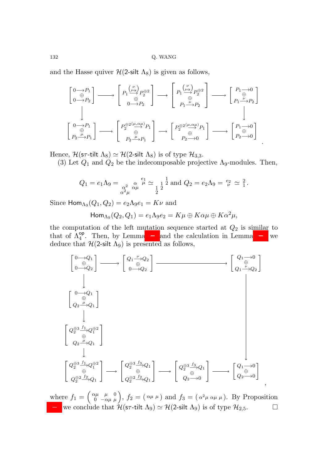and the Hasse quiver  $\mathcal{H}(2\text{-}silt \Lambda_8)$  is given as follows,

$$
\begin{bmatrix} 0 \longrightarrow P_1 \\ 0 \longrightarrow P_2 \end{bmatrix} \longrightarrow \begin{bmatrix} P_1 \overset{(\nu)}{\longrightarrow} P_2^{\oplus 2} \\ 0 \longrightarrow P_2 \end{bmatrix} \longrightarrow \begin{bmatrix} P_1 \overset{(\nu)}{\longrightarrow} P_2^{\oplus 2} \\ 0 \overset{(\nu)}{\longrightarrow} P_2 \end{bmatrix} \longrightarrow \begin{bmatrix} P_1 \overset{(\nu)}{\longrightarrow} P_2^{\oplus 2} \\ 0 \overset{(\nu)}{\longrightarrow} P_2 \end{bmatrix}
$$

$$
\begin{bmatrix} 0 \longrightarrow P_1 \\ \oplus \\ P_2 \overset{(\mu)}{\longrightarrow} P_1 \end{bmatrix} \longrightarrow \begin{bmatrix} P_2^{\oplus 2(\mu, \alpha\mu)} P_1 \\ \oplus \\ P_2 \overset{(\mu, \alpha\mu)}{\longrightarrow} P_1 \end{bmatrix} \longrightarrow \begin{bmatrix} P_2^{\oplus 2(\mu, \alpha\mu)} P_1 \\ \oplus \\ P_2 \overset{(\mu, \alpha\mu)}{\longrightarrow} P_1 \end{bmatrix} \longrightarrow \begin{bmatrix} P_1 \overset{(\mu, \alpha)}{\longrightarrow} 0 \\ P_2 \overset{(\mu, \alpha\mu)}{\longrightarrow} P_1 \end{bmatrix}
$$

Hence,  $\mathcal{H}(\mathsf{s}\tau\text{-tilt} \Lambda_8) \simeq \mathcal{H}(2\text{-} \mathsf{silt} \Lambda_8)$  is of type  $\mathcal{H}_{3,3}$ .

(3) Let  $Q_1$  and  $Q_2$  be the indecomposable projective  $\Lambda_9$ -modules. Then,

.

$$
Q_1 = e_1 \Lambda_9 = \underset{\alpha^2}{\alpha^2} \underset{\alpha}{\alpha} \mu \stackrel{e_1}{\sim} \underset{1}{\alpha} \frac{1}{2} \text{ and } Q_2 = e_2 \Lambda_9 = \frac{e_2}{\nu} \approx \frac{2}{1}.
$$

Since  $\mathsf{Hom}_{\Lambda_9}(Q_1,Q_2)=e_2\Lambda_9e_1=K\nu$  and

$$
\mathsf{Hom}_{\Lambda_9}(Q_2,Q_1)=e_1\Lambda_9e_2=K\mu\oplus K\alpha\mu\oplus K\alpha^2\mu,
$$

the computation of the left mutation sequence started at  $Q_2$  is similar to that of  $\Lambda_4^{\text{op}}$ . Then, by Lemma [2.7](#page-6-3) and the calculation in Lemma [3.3,](#page-9-1) we deduce that  $\mathcal{H}$ (2-silt  $\Lambda$ <sub>9</sub>) is presented as follows,



where  $f_1 = \begin{pmatrix} \alpha \mu & \mu & 0 \\ 0 & -\alpha \mu & \mu \end{pmatrix}$ ,  $f_2 = (\alpha \mu \mu)$  and  $f_3 = (\alpha^2 \mu \alpha \mu \mu)$ . By Proposition [2.3,](#page-5-2) we conclude that  $\mathcal{H}(\mathsf{s}\tau\text{-tilt}\mid \Lambda_9) \simeq \mathcal{H}(2\text{-silt }\Lambda_9)$  is of type  $\mathcal{H}_{2,5}$ .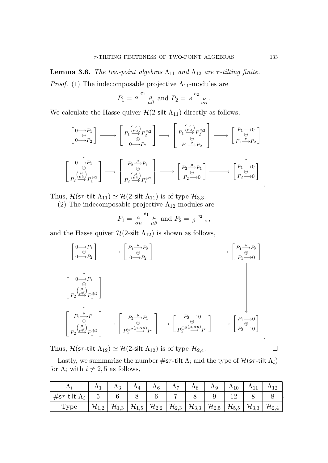**Lemma 3.6.** *The two-point algebras*  $\Lambda_{11}$  *and*  $\Lambda_{12}$  *are*  $\tau$ *-tilting finite. Proof.* (1) The indecomposable projective  $\Lambda_{11}$ -modules are

$$
P_1 = \begin{bmatrix} \alpha & e_1 \\ \mu & \mu \end{bmatrix} \text{ and } P_2 = \begin{bmatrix} \beta & e_2 \\ e_1 & \mu \end{bmatrix}
$$

We calculate the Hasse quiver  $\mathcal{H}$ (2-silt  $\Lambda_{11}$ ) directly as follows,

$$
\begin{bmatrix} 0 \xrightarrow{\rightarrow} P_1 \\ 0 \xrightarrow{\rightarrow} P_2 \end{bmatrix} \longrightarrow \begin{bmatrix} P_1 \xrightarrow{\begin{bmatrix} \nu \\ \nu \alpha \end{bmatrix}} P_2^{\oplus 2} \\ 0 \xrightarrow{\rightarrow} P_2 \end{bmatrix} \longrightarrow \begin{bmatrix} P_1 \xrightarrow{\begin{bmatrix} \nu \\ \nu \alpha \end{bmatrix}} P_2^{\oplus 2} \\ 0 \xrightarrow{\begin{bmatrix} \theta \\ \nu \end{bmatrix}} P_1 \xrightarrow{\begin{bmatrix} \theta \\ \nu \end{bmatrix}} P_2 \end{bmatrix} \longrightarrow \begin{bmatrix} P_1 \xrightarrow{\rightarrow} P_0 \\ P_1 \xrightarrow{\begin{bmatrix} \nu \\ \nu \end{bmatrix}} P_2 \end{bmatrix}
$$
\n
$$
\begin{bmatrix} 0 \xrightarrow{\rightarrow} P_1 \\ \vdots \\ P_2 \xrightarrow{\begin{bmatrix} \mu \\ \mu \end{bmatrix}} P_2 \xrightarrow{\begin{bmatrix} P_2 \xrightarrow{\mu} P_1 \\ \vdots \\ P_2 \xrightarrow{\begin{bmatrix} \mu \\ \mu \end{bmatrix}} P_1 \xrightarrow{\begin{bmatrix} \theta \\ \mu \end{bmatrix}} P_2 \xrightarrow{\begin{bmatrix} P_2 \xrightarrow{\mu} P_1 \\ \vdots \\ P_2 \xrightarrow{\begin{bmatrix} \theta \\ \mu \end{bmatrix}} P_2 \xrightarrow{\begin{bmatrix} P_1 \xrightarrow{\rightarrow} 0 \\ \vdots \\ P_2 \xrightarrow{\rightarrow} 0 \end{bmatrix}} \end{bmatrix}
$$

Thus,  $\mathcal{H}(\mathsf{s}\tau\text{-tilt} \Lambda_{11}) \simeq \mathcal{H}(\mathsf{2}\text{-}\mathsf{silt} \Lambda_{11})$  is of type  $\mathcal{H}_{3,3}$ .

(2) The indecomposable projective  $\Lambda_{12}$ -modules are

$$
P_1 = \frac{\alpha}{\alpha \mu} \frac{\mu}{\mu \beta} \text{ and } P_2 = \frac{\alpha}{\beta} e_2 \frac{\mu}{\nu},
$$

and the Hasse quiver  $\mathcal{H}$ (2-silt  $\Lambda_{12}$ ) is shown as follows,

$$
\begin{bmatrix}\n0 \to P_1 \\
0 \to P_2\n\end{bmatrix} \longrightarrow\n\begin{bmatrix}\nP_1 \xrightarrow{\nu} P_2 \\
0 \to P_2\n\end{bmatrix}\n\begin{bmatrix}\nP_1 \xrightarrow{\nu} P_2 \\
0 \to P_2\n\end{bmatrix}
$$
\n
$$
\begin{bmatrix}\n0 \to P_1 \\
P_1 \xrightarrow{\mu} 0\n\end{bmatrix}
$$
\n
$$
\begin{bmatrix}\n0 \to P_1 \\
P_2 \xrightarrow{\mu} P_1 \\
P_2 \xrightarrow{\mu} P_1\n\end{bmatrix}\n\longrightarrow\n\begin{bmatrix}\nP_2 \xrightarrow{\mu} P_1 \\
P_2 \xrightarrow{\mu} P_1\n\end{bmatrix}\n\longrightarrow\n\begin{bmatrix}\nP_2 \to 0 \\
P_2 \xrightarrow{\mu} P_1\n\end{bmatrix}\n\longrightarrow\n\begin{bmatrix}\nP_1 \to 0 \\
P_2 \xrightarrow{\mu} P_1\n\end{bmatrix}
$$

Thus,  $\mathcal{H}(\mathsf{sr}\text{-}\mathsf{tilt}\ \Lambda_{12}) \simeq \mathcal{H}(2\text{-}\mathsf{silt}\ \Lambda_{12})$  is of type  $\mathcal{H}_{2,4}$ .

Lastly, we summarize the number  $\#\text{sr-tilt } \Lambda_i$  and the type of  $\mathcal{H}(\text{sr-tilt } \Lambda_i)$ for  $\Lambda_i$  with  $i \neq 2, 5$  as follows,

|                             |                                                                                                                                                                                                                                                                  | $\Lambda_3$ | $\Lambda_4$ | $\Lambda_6$ | $\Lambda_7$ | $\Lambda_8$ | $\Lambda_9$ | $\Lambda_{10}$ | $\Lambda_{11}$ |  |
|-----------------------------|------------------------------------------------------------------------------------------------------------------------------------------------------------------------------------------------------------------------------------------------------------------|-------------|-------------|-------------|-------------|-------------|-------------|----------------|----------------|--|
| #s $\tau$ -tilt $\Lambda_i$ |                                                                                                                                                                                                                                                                  |             |             |             |             |             |             |                |                |  |
| Type                        | $\left  \mathcal{H}_{1,2} \right  \mathcal{H}_{1,3} \left  \mathcal{H}_{1,5} \right  \mathcal{H}_{2,2} \left  \mathcal{H}_{2,3} \right  \mathcal{H}_{3,3} \left  \mathcal{H}_{2,5} \right  \mathcal{H}_{5,5} \left  \mathcal{H}_{3,3} \right  \mathcal{H}_{2,4}$ |             |             |             |             |             |             |                |                |  |

.

.

.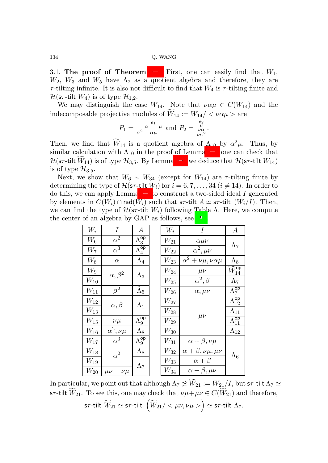3.1. The proof of Theorem [1.1.](#page-1-0) First, one can easily find that  $W_1$ ,  $W_2$ ,  $W_3$  and  $W_5$  have  $\Lambda_2$  as a quotient algebra and therefore, they are  $\tau$ -tilting infinite. It is also not difficult to find that  $W_4$  is  $\tau$ -tilting finite and  $\mathcal{H}(\mathsf{s}\tau\text{-tilt}\,W_4)$  is of type  $\mathcal{H}_{1,2}$ .

We may distinguish the case  $W_{14}$ . Note that  $\nu \alpha \mu \in C(W_{14})$  and the indecomposable projective modules of  $\widetilde{W}_{14} := W_{14} / \langle \nu \alpha \mu \rangle$  are

$$
P_1 = \frac{\alpha}{\alpha^2} \frac{e_1}{\alpha \mu} \mu
$$
 and 
$$
P_2 = \frac{e_2}{\nu \alpha^2}.
$$

Then, we find that  $W_{14}$  is a quotient algebra of  $\Lambda_{10}$  by  $\alpha^2\mu$ . Thus, by similar calculation with  $\Lambda_{10}$  in the proof of Lemma [3.5,](#page-13-0) one can check that  $\mathcal{H}(\mathsf{s}\tau\text{-tilt}\,\widetilde{W}_{14})$  is of type  $\mathcal{H}_{3,5}$ . By Lemma [2.8,](#page-6-0) we deduce that  $\mathcal{H}(\mathsf{s}\tau\text{-tilt}\,\mathsf{W}_{14})$ is of type  $\mathcal{H}_{3,5}$ .

Next, we show that  $W_6 \sim W_{34}$  (except for  $W_{14}$ ) are  $\tau$ -tilting finite by determining the type of  $\mathcal{H}(\mathsf{s}\tau\text{-tilt}\mid W_i)$  for  $i = 6, 7, \ldots, 34$   $(i \neq 14)$ . In order to do this, we can apply Lemma [2.8](#page-6-0) to construct a two-sided ideal I generated by elements in  $C(W_i) \cap \text{rad}(W_i)$  such that s $\tau$ -tilt  $A \simeq$  s $\tau$ -tilt  $(W_i/I)$ . Then, we can find the type of  $\mathcal{H}(\mathsf{sr}\text{-}\mathsf{tilt} \mid W_i)$  following Table  $\Lambda$ . Here, we compute the center of an algebra by GAP as follows, see [\[28](#page-24-7)].

| $W_i$           | Ι                      | А                       | $W_i$              | I                                 | А                                       |
|-----------------|------------------------|-------------------------|--------------------|-----------------------------------|-----------------------------------------|
| $W_6$           | $\alpha^2$             | $\Lambda_3^{\sf op}$    | $\mathcal{W}_{21}$ | $\alpha \mu \nu$                  | $\Lambda_7$                             |
| $W_7$           | $\alpha^3$             | $\Lambda_4^{\sf op}$    | $W_{22}$           | $\alpha^2, \mu\nu$                |                                         |
| $W_8$           | $\alpha$               | $\Lambda_4$             | $W_{23}$           | $\alpha^2 + \nu\mu, \nu\alpha\mu$ | $\Lambda_8$                             |
| $W_9$           | $\alpha, \beta^2$      | $\Lambda_3$             | $W_{24}$           | $\mu\nu$                          | $\widetilde{W}^{\mathsf{op}}_{14}$      |
| $W_\mathrm{10}$ |                        |                         | $\mathcal{W}_{25}$ | $\alpha^2, \beta$                 | $\Lambda_7$                             |
| $W_{11}$        | $\beta^2$              | $\tilde{\Lambda}_5$     | $\mathcal{W}_{26}$ | $\alpha$ , $\mu\nu$               | $\Lambda_7^{\mathsf{op}}$               |
| $W_{12}$        |                        | $\Lambda_1$             | $W_{27}$           |                                   | $\Lambda_{12}^{\mathsf{op}}$            |
| $W_{13}$        | $\alpha, \beta$        |                         | $W_{28}$           |                                   | $\Lambda_{11}$                          |
| $W_{\rm 15}$    | $\nu\mu$               | $\Lambda_9^\mathsf{op}$ | $W_{29}$           | $\mu\nu$                          | $\overline{\Lambda_{11}^{\mathsf{op}}}$ |
| $W_{16}$        | $\alpha^2, \nu\mu$     | $\Lambda_8$             | $\mathcal{W}_{30}$ |                                   | $\Lambda_{12}$                          |
| $W_{17}$        | $\alpha^{\overline 3}$ | $\Lambda_9^\mathsf{op}$ | $W_{\rm 31}$       | $\alpha + \beta, \nu\mu$          |                                         |
| $W_{18}$        | $\alpha^2$             | $\Lambda_8$             | $\mathcal{W}_{32}$ | $\alpha + \beta, \nu\mu, \mu\nu$  | $\Lambda_6$                             |
| $W_{19}$        |                        | $\Lambda_7$             | $\mathcal{W}_{33}$ | $\alpha + \beta$                  |                                         |
| $W_{20}$        | $\mu\nu + \nu\mu$      |                         | $W_{34}$           | $\alpha + \beta, \mu\nu$          |                                         |

In particular, we point out that although  $\Lambda_7 \not\simeq \widetilde{W}_{21} := W_{21}/I$ , but s $\tau$ -tilt  $\Lambda_7 \simeq$ sτ-tilt  $\widetilde{W}_{21}$ . To see this, one may check that  $\nu\mu + \mu\nu \in C(\widetilde{W}_{21})$  and therefore, s $\tau$ -tilt  $\widetilde{W}_{21}\simeq$  s $\tau$ -tilt  $\left(\widetilde{W}_{21}/<\mu\nu,\nu\mu>\right)\simeq$  s $\tau$ -tilt  $\Lambda$  $\tau.$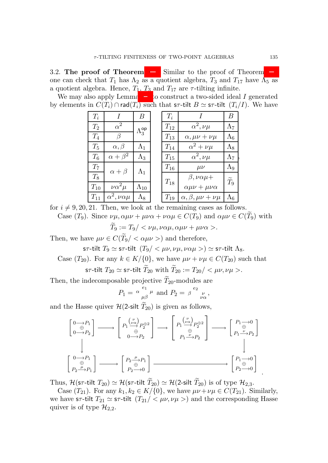3.2. The proof of Theorem [1.2.](#page-2-1) Similar to the proof of Theorem [1.1,](#page-1-0) one can check that  $T_1$  has  $\Lambda_2$  as a quotient algebra,  $T_3$  and  $T_{17}$  have  $\Lambda_5$  as a quotient algebra. Hence,  $T_1$ ,  $T_3$  and  $T_{17}$  are  $\tau$ -tilting infinite.

We may also apply Lemma [2.8](#page-6-0) to construct a two-sided ideal I generated by elements in  $C(T_i) \cap \text{rad}(T_i)$  such that s $\tau$ -tilt  $B \simeq$  s $\tau$ -tilt  $(T_i/I)$ . We have

| $T_i$              | $\prime$                   | B                    | $T_i$    |                                   | B           |
|--------------------|----------------------------|----------------------|----------|-----------------------------------|-------------|
| $\scriptstyle T_2$ | $\alpha^2$                 | $\Lambda_3^{\sf op}$ | $T_{12}$ | $\alpha^2, \nu\mu$                | $\Lambda_7$ |
| $T_{4}$            | β                          |                      | $T_{13}$ | $\alpha$ , $\mu\nu + \nu\mu$      | $\Lambda_6$ |
| $T_5$              | $\alpha, \beta$            | $\Lambda_1$          | $T_{14}$ | $\alpha^2 + \nu \mu$              | $\Lambda_8$ |
| $\, T_{6} \,$      | $\alpha + \beta^2$         | $\Lambda_3$          | $T_{15}$ | $\alpha^2, \nu\mu$                | $\Lambda_7$ |
| $T_7$              | $\alpha+\beta$             | $\Lambda_1$          | $T_{16}$ | $\mu\nu$                          | Λ9          |
| $T_8$              |                            |                      |          | $\beta$ , $\nu \alpha \mu +$      | $T_9$       |
| $T_{10}$           | $\nu \alpha^2 \mu$         | $\Lambda_{10}$       | $T_{18}$ | $\alpha \mu \nu + \mu \nu \alpha$ |             |
| $T_{11}$           | $\alpha^2, \nu \alpha \mu$ | $\Lambda_8$          | $T_{19}$ | $\alpha, \beta, \mu\nu + \nu\mu$  | $\Lambda_6$ |

for  $i \neq 9, 20, 21$ . Then, we look at the remaining cases as follows.

Case  $(T_9)$ . Since  $\nu\mu, \alpha\mu\nu + \mu\nu\alpha + \nu\alpha\mu \in C(T_9)$  and  $\alpha\mu\nu \in C(\widetilde{T}_9)$  with  $\widetilde{T}_9 := T_9 / \langle \nu \mu, \nu \alpha \mu, \alpha \mu \nu + \mu \nu \alpha \rangle$ .

Then, we have  $\mu \nu \in C(\widetilde{T}_9/ < \alpha \mu \nu >)$  and therefore,

sτ-tilt  $T_9 \simeq$  sτ-tilt  $(T_9 / \langle \mu \nu, \nu \mu, \nu \alpha \mu \rangle) \simeq$  sτ-tilt  $\Lambda_8$ .

Case  $(T_{20})$ . For any  $k \in K/\{0\}$ , we have  $\mu\nu + \nu\mu \in C(T_{20})$  such that s $\tau$ -tilt  $T_{20} \simeq$  s $\tau$ -tilt  $\widetilde{T}_{20}$  with  $\widetilde{T}_{20} := T_{20} / \langle \mu \nu, \nu \mu \rangle$ .

Then, the indecomposable projective  $\widetilde{T}_{20}$ -modules are

$$
P_1 = \alpha \frac{e_1}{\mu \beta} \mu \text{ and } P_2 = \beta \frac{e_2}{\nu \alpha},
$$

and the Hasse quiver  $\mathcal{H}(2\text{-}silt \tilde{T}_{20})$  is given as follows,

$$
\begin{bmatrix}\n0 \rightarrow P_1 \\
0 \rightarrow P_2\n\end{bmatrix} \longrightarrow \begin{bmatrix}\nP_1 \stackrel{(\nu)}{\rightarrow} P_2^{\oplus 2} \\
0 \rightarrow P_2\n\end{bmatrix} \longrightarrow \begin{bmatrix}\nP_1 \stackrel{(\nu)}{\rightarrow} P_2^{\oplus 2} \\
0 \stackrel{(\nu)}{\rightarrow} P_2\n\end{bmatrix} \longrightarrow \begin{bmatrix}\nP_1 \stackrel{(\nu)}{\rightarrow} P_2^{\oplus 2} \\
P_1 \stackrel{\nu}{\rightarrow} P_2\n\end{bmatrix}
$$
\n
$$
\begin{bmatrix}\n0 \rightarrow P_1 \\
P_2 \stackrel{\mu}{\rightarrow} P_1\n\end{bmatrix} \longrightarrow \begin{bmatrix}\nP_2 \stackrel{\mu}{\rightarrow} P_1 \\
P_2 \rightarrow 0\n\end{bmatrix} \longrightarrow \begin{bmatrix}\nP_1 \stackrel{\nu}{\rightarrow} P_2 \\
P_2 \rightarrow 0\n\end{bmatrix}
$$

Thus,  $\mathcal{H}(\mathsf{s}\tau\text{-tilt}\mathsf{T}_{20}) \simeq \mathcal{H}(\mathsf{s}\tau\text{-tilt}\mathsf{T}_{20}) \simeq \mathcal{H}(2\text{-silt }\widetilde{T}_{20})$  is of type  $\mathcal{H}_{2,3}$ .

Case  $(T_{21})$ . For any  $k_1, k_2 \in K/{0}$ , we have  $\mu\nu + \nu\mu \in C(T_{21})$ . Similarly, we have sτ-tilt  $T_{21} \simeq$  st-tilt  $(T_{21}/\langle \mu \nu, \nu \mu \rangle)$  and the corresponding Hasse quiver is of type  $\mathcal{H}_{2,2}$ .

,

.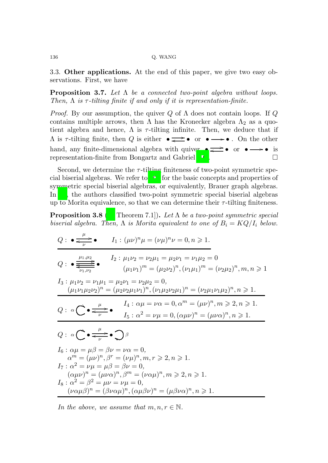3.3. Other applications. At the end of this paper, we give two easy observations. First, we have

Proposition 3.7. *Let* Λ *be a connected two-point algebra without loops. Then,*  $\Lambda$  *is*  $\tau$ -tilting finite if and only if it is representation-finite.

*Proof.* By our assumption, the quiver Q of  $\Lambda$  does not contain loops. If Q contains multiple arrows, then  $\Lambda$  has the Kronecker algebra  $\Lambda_2$  as a quotient algebra and hence,  $\Lambda$  is  $\tau$ -tilting infinite. Then, we deduce that if  $\Lambda$  is  $\tau$ -tilting finite, then  $Q$  is either  $\bullet \implies \bullet \text{ or } \bullet \longrightarrow \bullet$ . On the other hand, any finite-dimensional algebra with quiver  $\bullet \rightleftharpoons \bullet \text{ or } \bullet \rightarrow \bullet \text{ is}$ representation-finite from Bongartz and Gabriel [\[10\]](#page-23-7).

Second, we determine the  $\tau$ -tilting finiteness of two-point symmetric special biserial algebras. We refer to [23] for the basic concepts and properties of symmetric special biserial algebras, or equivalently, Brauer graph algebras. In [\[8\]](#page-23-12), the authors classified two-point symmetric special biserial algebras up to Morita equivalence, so that we can determine their  $\tau$ -tilting finiteness.

Proposition 3.8 ([\[8](#page-23-12), Theorem 7.1]). *Let* Λ *be a two-point symmetric special biserial algebra. Then,*  $\Lambda$  *is Morita equivalent to one of*  $B_i = KQ/I_i$  *below.* 

$$
Q: \bullet \frac{\mu}{\epsilon_{\nu}} \bullet I_1: (\mu \nu)^n \mu = (\nu \mu)^n \nu = 0, n \ge 1.
$$
  
\n
$$
Q: \bullet \frac{\mu_1, \mu_2}{\epsilon_{\nu_1, \nu_2}} \bullet I_2: \mu_1 \nu_2 = \nu_2 \mu_1 = \mu_2 \nu_1 = \nu_1 \mu_2 = 0
$$
  
\n
$$
(\mu_1 \nu_1)^m = (\mu_2 \nu_2)^n, (\nu_1 \mu_1)^m = (\nu_2 \mu_2)^n, m, n \ge 1
$$
  
\n
$$
I_3: \mu_1 \nu_2 = \nu_1 \mu_1 = \mu_2 \nu_1 = \nu_2 \mu_2 = 0,
$$
  
\n
$$
(\mu_1 \nu_1 \mu_2 \nu_2)^n = (\mu_2 \nu_2 \mu_1 \nu_1)^n, (\nu_1 \mu_2 \nu_2 \mu_1)^n = (\nu_2 \mu_1 \nu_1 \mu_2)^n, n \ge 1.
$$
  
\n
$$
Q: \alpha \leftarrow \frac{\mu}{\nu} \bullet I_4: \alpha \mu = \nu \alpha = 0, \alpha^m = (\mu \nu)^n, m \ge 2, n \ge 1.
$$
  
\n
$$
Q: \alpha \leftarrow \frac{\mu}{\nu} \bullet \sum_{\nu} \beta
$$
  
\n
$$
I_5: \alpha^2 = \nu \mu = 0, (\alpha \mu \nu)^n = (\mu \nu \alpha)^n, n \ge 1.
$$
  
\n
$$
Q: \alpha \leftarrow \frac{\mu}{\nu} \bullet \sum_{\nu} \beta
$$
  
\n
$$
I_6: \alpha \mu = \mu \beta = \beta \nu = \nu \alpha = 0,
$$
  
\n
$$
\alpha^m = (\mu \nu)^n, \beta^r = (\nu \mu)^n, m, r \ge 2, n \ge 1.
$$
  
\n
$$
I_7: \alpha^2 = \nu \mu = \mu \beta = \beta \nu = 0,
$$
  
\n
$$
(\alpha \mu \nu)^n = (\mu \nu \alpha)^n, \beta^m = (\nu \alpha \mu)^n, m \ge 2, n \ge 1.
$$
  
\n
$$
I_8: \alpha^2 = \beta^2 = \mu \nu = \nu \mu = 0,
$$
  
\

*In the above, we assume that*  $m, n, r \in \mathbb{N}$ *.*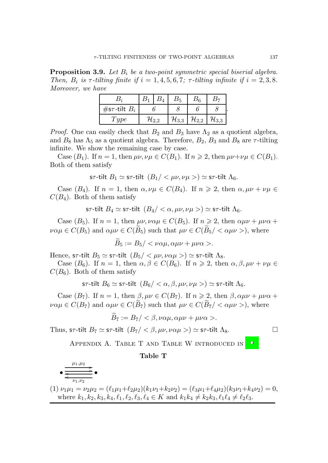<span id="page-20-0"></span>Proposition 3.9. *Let* B<sup>i</sup> *be a two-point symmetric special biserial algebra. Then,*  $B_i$  is  $\tau$ -tilting finite if  $i = 1, 4, 5, 6, 7$ ;  $\tau$ -tilting infinite if  $i = 2, 3, 8$ . *Moreover, we have*

| #s $\tau$ -tilt $B_i$ |  |             |                     |                     |                     |  |  |
|-----------------------|--|-------------|---------------------|---------------------|---------------------|--|--|
| ype                   |  | $\mu_{2.2}$ | $\mathcal{H}_{3,3}$ | $\mathcal{H}_{2,2}$ | $\mathcal{H}_{3,3}$ |  |  |

*Proof.* One can easily check that  $B_2$  and  $B_3$  have  $\Lambda_2$  as a quotient algebra, and  $B_8$  has  $\Lambda_5$  as a quotient algebra. Therefore,  $B_2$ ,  $B_3$  and  $B_8$  are  $\tau$ -tilting infinite. We show the remaining case by case.

Case  $(B_1)$ . If  $n = 1$ , then  $\mu\nu, \nu\mu \in C(B_1)$ . If  $n \geq 2$ , then  $\mu\nu + \nu\mu \in C(B_1)$ . Both of them satisfy

$$
\textsf{s}\tau\textsf{-tilt} \ B_1 \simeq \textsf{s}\tau\textsf{-tilt} \ \ (B_1 / <\mu\nu, \nu\mu>) \simeq \textsf{s}\tau\textsf{-tilt} \ \Lambda_6.
$$

Case  $(B_4)$ . If  $n = 1$ , then  $\alpha, \nu\mu \in C(B_4)$ . If  $n \geq 2$ , then  $\alpha, \mu\nu + \nu\mu \in$  $C(B_4)$ . Both of them satisfy

s $\tau$ -tilt  $B_4 \simeq$  s $\tau$ -tilt  $(B_4) < \alpha, \mu\nu, \nu\mu > \alpha$  s $\tau$ -tilt  $\Lambda_6$ .

Case ( $B_5$ ). If  $n = 1$ , then  $\mu\nu, \nu\alpha\mu \in C(B_5)$ . If  $n \ge 2$ , then  $\alpha\mu\nu + \mu\nu\alpha + \nu\alpha$  $\nu\alpha\mu \in C(B_5)$  and  $\alpha\mu\nu \in C(B_5)$  such that  $\mu\nu \in C(B_5) < \alpha\mu\nu >$ , where

 $\widetilde{B}_5 := B_5 / \langle \nu \alpha \mu, \alpha \mu \nu + \mu \nu \alpha \rangle.$ 

Hence, sτ-tilt  $B_5 \simeq$  sτ-tilt  $(B_5 / \langle \mu \nu, \nu \alpha \mu \rangle) \simeq$  st-tilt  $\Lambda_8$ .

Case ( $B_6$ ). If  $n = 1$ , then  $\alpha, \beta \in C(B_6)$ . If  $n \ge 2$ , then  $\alpha, \beta, \mu\nu + \nu\mu \in$  $C(B_6)$ . Both of them satisfy

$$
\text{s}\tau\text{-tilt }B_6 \simeq \text{s}\tau\text{-tilt }(B_6 < \alpha, \beta, \mu\nu, \nu\mu > ) \simeq \text{s}\tau\text{-tilt }(A_6.
$$

Case ( $B_7$ ). If  $n = 1$ , then  $\beta, \mu\nu \in C(B_7)$ . If  $n \geq 2$ , then  $\beta, \alpha\mu\nu + \mu\nu\alpha + \beta$  $\nu \alpha \mu \in C(B_7)$  and  $\alpha \mu \nu \in C(\widetilde{B}_7)$  such that  $\mu \nu \in C(\widetilde{B}_7) < \alpha \mu \nu >$ , where

$$
B_7 := B_7 / <\beta, \nu\alpha\mu, \alpha\mu\nu + \mu\nu\alpha>.
$$

Thus, s $\tau$ -tilt  $B_7 \simeq$  s $\tau$ -tilt  $(B_7 / \langle \beta, \mu \nu, \nu \alpha \mu \rangle) \simeq$  s $\tau$ -tilt  $\Lambda_8$ .

APPENDIX A. TABLE T AND TABLE W INTRODUCED IN  $[16]$ 

## Table T

$$
\bullet \xrightarrow{\mu_1,\mu_2} \bullet \xrightarrow{\mu_1,\mu_2} \bullet
$$

(1) 
$$
\nu_1 \mu_1 = \nu_2 \mu_2 = (\ell_1 \mu_1 + \ell_2 \mu_2)(k_1 \nu_1 + k_2 \nu_2) = (\ell_3 \mu_1 + \ell_4 \mu_2)(k_3 \nu_1 + k_4 \nu_2) = 0
$$
,  
where  $k_1, k_2, k_3, k_4, \ell_1, \ell_2, \ell_3, \ell_4 \in K$  and  $k_1 k_4 \neq k_2 k_3, \ell_1 \ell_4 \neq \ell_2 \ell_3$ .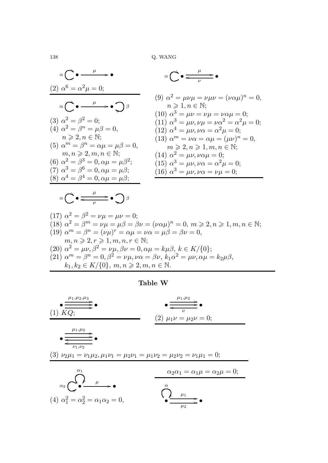$$
\alpha \begin{pmatrix}\n\bullet & \mu & \bullet \\
\alpha \end{pmatrix}\n\alpha^6 = \alpha^2 \mu = 0; \qquad (9) \alpha^2 = \mu \nu \mu = \nu \mu \nu = (\nu \alpha \mu)^n = 0, \\
\alpha \begin{pmatrix}\n\bullet & \mu & \bullet \\
\alpha \end{pmatrix}\n\beta\n\begin{pmatrix}\n\alpha^2 = \beta^2 = 0; \\
\alpha \end{pmatrix}\n\end{pmatrix}
$$
\n
$$
\alpha \begin{pmatrix}\n\bullet & \mu & \bullet \\
\alpha \end{pmatrix}\n\beta\n\begin{pmatrix}\n\alpha^3 = \mu \nu = \nu \mu \nu = (\nu \alpha \mu)^n = 0, \\
\alpha \end{pmatrix}
$$
\n
$$
\alpha \begin{pmatrix}\n\alpha^2 = \beta^2 = 0; \\
\alpha^2 = \beta^n = \mu \beta = 0, \\
\alpha \geq 2, n \in \mathbb{N}; \\
\alpha \geq 2, n \in \mathbb{N}; \\
\alpha \geq 2, n \in \mathbb{N}; \\
\alpha \geq 2, n \in \mathbb{N}; \\
\alpha \geq 2, n \in \mathbb{N}; \\
\alpha \geq 2, n \in \mathbb{N}; \\
\alpha \geq 2, n \in \mathbb{N}; \\
\alpha \geq 2, n \in \mathbb{N}; \\
\alpha \geq 2, n \in \mathbb{N}; \\
\alpha \geq 2, n \in \mathbb{N}; \\
\alpha \geq 2, n \in \mathbb{N}; \\
\alpha \geq 2, n \in \mathbb{N}; \\
\alpha \geq 2, n \in \mathbb{N}; \\
\alpha \geq 2, n \in \mathbb{N}; \\
\alpha \geq 2, n \in \mathbb{N}; \\
\alpha \geq 2, n \in \mathbb{N}; \\
\alpha \geq 2, n \in \mathbb{N}; \\
\alpha \geq 2, n \in \mathbb{N}; \\
\alpha \geq 2, n \in \mathbb{N}; \\
\alpha \geq 2, n \in \mathbb{N}; \\
\alpha \geq 2, n \in \mathbb{N}; \\
\alpha \geq 2, n \in \mathbb{N}; \\
\alpha \geq 2, n \in \mathbb{N}; \\
\alpha \geq 2, n \in \mathbb{N}; \\
\alpha \geq 2, n \in \mathbb{N}; \\
\alpha \geq 2, n \in \mathbb{N}; \\
\alpha \geq 2, n \in \mathbb
$$

(17) 
$$
\alpha^2 = \beta^2 = \nu\mu = \mu\nu = 0;
$$
  
\n(18)  $\alpha^2 = \beta^m = \nu\mu = \mu\beta = \beta\nu = (\nu\alpha\mu)^n = 0, \ m \ge 2, n \ge 1, m, n \in \mathbb{N};$   
\n(19)  $\alpha^m = \beta^n = (\nu\mu)^r = \alpha\mu = \nu\alpha = \mu\beta = \beta\nu = 0,$   
\n $m, n \ge 2, r \ge 1, m, n, r \in \mathbb{N};$   
\n(20)  $\alpha^2 = \mu\nu, \beta^2 = \nu\mu, \beta\nu = 0, \alpha\mu = k\mu\beta, k \in K/\{0}\};$   
\n(21)  $\alpha^m = \beta^n = 0, \beta^2 = \nu\mu, \nu\alpha = \beta\nu, k_1\alpha^2 = \mu\nu, \alpha\mu = k_2\mu\beta,$   
\n $k_1, k_2 \in K/\{0\}, \ m, n \ge 2, m, n \in \mathbb{N}.$ 

Table W

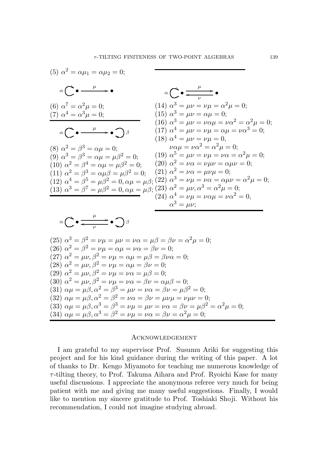(5) 
$$
\alpha^2 = \alpha \mu_1 = \alpha \mu_2 = 0;
$$
  
\n $\alpha \left( \frac{\partial}{\partial \alpha} - \frac{\mu}{\alpha} \right) = 0;$   
\n(6)  $\alpha^7 = \alpha^2 \mu = 0;$   
\n(7)  $\alpha^4 = \alpha^3 \mu = 0;$   
\n(8)  $\alpha^2 = \beta^3 = \alpha \mu = 0;$   
\n(9)  $\alpha^3 = \beta^3 = \alpha \mu = \mu\beta^2 = 0;$   
\n(10)  $\alpha^2 = \beta^3 = \alpha \mu = \mu\beta^2 = 0;$   
\n(11)  $\alpha^4 = \mu \nu = \nu\mu = \alpha \mu = \nu\alpha^3 = 0;$   
\n(12)  $\alpha^4 = \beta^5 = \mu\beta^2 = 0;$   
\n(13)  $\alpha^3 = \beta^7 = \mu\beta^2 = 0;$   
\n(14)  $\alpha^3 = \mu \nu = \nu\mu = \alpha^2 = \alpha^2 \mu = 0;$   
\n(15)  $\alpha^3 = \mu \nu = \nu\mu = \alpha \mu = 0;$   
\n(16)  $\alpha^3 = \mu \nu = \nu\mu = \alpha \mu = \nu\alpha^3 = 0;$   
\n(17)  $\alpha^4 = \mu \nu = \nu\mu = \alpha \mu = \nu\alpha^3 = 0;$   
\n(18)  $\alpha^4 = \mu \nu = \nu\mu = \alpha \mu = \nu\alpha^3 = 0;$   
\n(19)  $\alpha^5 = \mu \nu = \nu\mu = \nu\alpha = \alpha^2 \mu = 0;$   
\n(10)  $\alpha^2 = \beta^3 = \alpha \mu = \mu\beta^2 = 0;$   
\n(11)  $\alpha^3 = \beta^7 = \mu\beta^2 = 0;$   
\n(12)  $\alpha^4 = \beta^5 = \mu\beta^2 = 0, \alpha\mu = \mu\beta;$   
\n(23)  $\alpha^2 = \mu \nu = \nu\alpha = \alpha \mu \nu = \alpha^2 \mu = 0;$   
\n(24)  $\alpha^4 = \nu\mu = \nu\alpha \mu = \nu\alpha^2 = 0;$   
\n(25)  $\alpha^3 = \beta^2$ 

$$
(30) \ \alpha^2 = \mu\nu, \beta^2 = \nu\mu = \nu\alpha = \beta\nu = \alpha\mu\beta = 0;
$$

(31) 
$$
\alpha \mu = \mu \beta, \alpha^2 = \beta^3 = \mu \nu = \nu \alpha = \beta \nu = \mu \beta^2 = 0;
$$

(32) 
$$
\alpha\mu = \mu\beta, \alpha^2 = \beta^2 = \nu\alpha = \beta\nu = \mu\nu\mu = \nu\mu\nu = 0;
$$

(33) 
$$
\alpha \mu = \mu \beta, \alpha^3 = \beta^3 = \nu \mu = \mu \nu = \nu \alpha = \beta \nu = \mu \beta^2 = \alpha^2 \mu = 0;
$$

(34) 
$$
\alpha\mu = \mu\beta, \alpha^3 = \beta^2 = \nu\mu = \nu\alpha = \beta\nu = \alpha^2\mu = 0;
$$

## Acknowledgement

I am grateful to my supervisor Prof. Susumu Ariki for suggesting this project and for his kind guidance during the writing of this paper. A lot of thanks to Dr. Kengo Miyamoto for teaching me numerous knowledge of  $\tau$ -tilting theory, to Prof. Takuma Aihara and Prof. Ryoichi Kase for many useful discussions. I appreciate the anonymous referee very much for being patient with me and giving me many useful suggestions. Finally, I would like to mention my sincere gratitude to Prof. Toshiaki Shoji. Without his recommendation, I could not imagine studying abroad.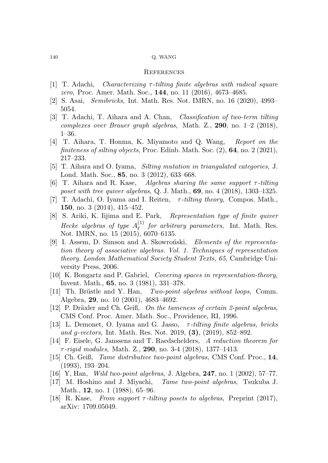#### **REFERENCES**

- <span id="page-23-3"></span>[1] T. Adachi, *Characterizing* τ *-tilting finite algebras with radical square zero*, Proc. Amer. Math. Soc., 144, no. 11 (2016), 4673–4685.
- <span id="page-23-1"></span>[2] S. Asai, *Semibricks*, Int. Math. Res. Not. IMRN, no. 16 (2020), 4993– 5054.
- [3] T. Adachi, T. Aihara and A. Chan, *Classification of two-term tilting complexes over Brauer graph algebras*, Math. Z., 290, no. 1–2 (2018), 1–36.
- <span id="page-23-4"></span>[4] T. Aihara, T. Honma, K. Miyamoto and Q. Wang, *Report on the finiteness of silting objects*, Proc. Edinb. Math. Soc. (2), 64, no. 2 (2021), 217–233.
- <span id="page-23-14"></span>[5] T. Aihara and O. Iyama, *Silting mutation in triangulated categories*, J. Lond. Math. Soc., 85, no. 3 (2012), 633–668.
- <span id="page-23-5"></span>[6] T. Aihara and R. Kase, *Algebras sharing the same support* τ *-tilting poset with tree quiver algebras*, Q. J. Math., 69, no. 4 (2018), 1303–1325.
- <span id="page-23-0"></span>[7] T. Adachi, O. Iyama and I. Reiten, τ *-tilting theory*, Compos. Math., 150, no. 3 (2014), 415–452.
- <span id="page-23-12"></span>[8] S. Ariki, K. Iijima and E. Park, *Representation type of finite quiver Hecke algebras of type*  $A_{\ell}^{(1)}$ ℓ *for arbitrary parameters*, Int. Math. Res. Not. IMRN, no. 15 (2015), 6070–6135.
- <span id="page-23-13"></span>[9] I. Assem, D. Simson and A. Skowronski, *Elements of the representation theory of associative algebras. Vol. 1. Techniques of representation theory. London Mathematical Society Student Texts, 65*, Cambridge University Press, 2006.
- <span id="page-23-7"></span>[10] K. Bongartz and P. Gabriel, *Covering spaces in representation-theory*, Invent. Math., 65, no. 3 (1981), 331–378.
- <span id="page-23-8"></span>[11] Th. Brüstle and Y. Han, *Two-point algebras without loops*, Comm. Algebra, 29, no. 10 (2001), 4683–4692.
- <span id="page-23-9"></span>[12] P. Dräxler and Ch. Geiß, *On the tameness of certain 2-point algebras*, CMS Conf. Proc. Amer. Math. Soc., Providence, RI, 1996.
- <span id="page-23-2"></span>[13] L. Demonet, O. Iyama and G. Jasso, τ *-tilting finite algebras, bricks and* g*-vectors*, Int. Math. Res. Not. 2019, (3), (2019), 852–892.
- <span id="page-23-15"></span>[14] F. Eisele, G. Janssens and T. Raedschelders, *A reduction theorem for* τ *-rigid modules*, Math. Z., 290, no. 3-4 (2018), 1377–1413.
- <span id="page-23-10"></span>[15] Ch. Geiß, *Tame distributive two-point algebras*, CMS Conf. Proc., 14, (1993), 193–204.
- <span id="page-23-11"></span>[16] Y, Han, *Wild two-point algebras*, J. Algebra, 247, no. 1 (2002), 57–77.
- <span id="page-23-16"></span>[17] M. Hoshino and J. Miyachi, *Tame two-point algebras*, Tsukuba J. Math., 12, no. 1 (1988), 65–96.
- <span id="page-23-6"></span>[18] R. Kase, *From support* τ *-tilting posets to algebras*, Preprint (2017), arXiv: 1709.05049.